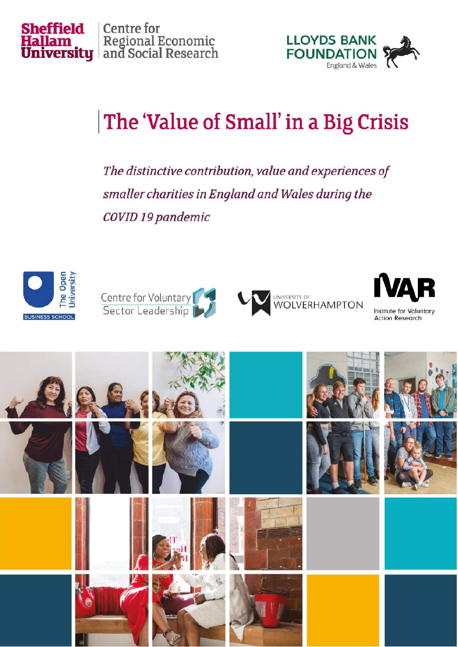



# The 'Value of Small' in a Big Crisis

The distinctive contribution, value and experiences of smaller charities in England and Wales during the COVID 19 pandemic









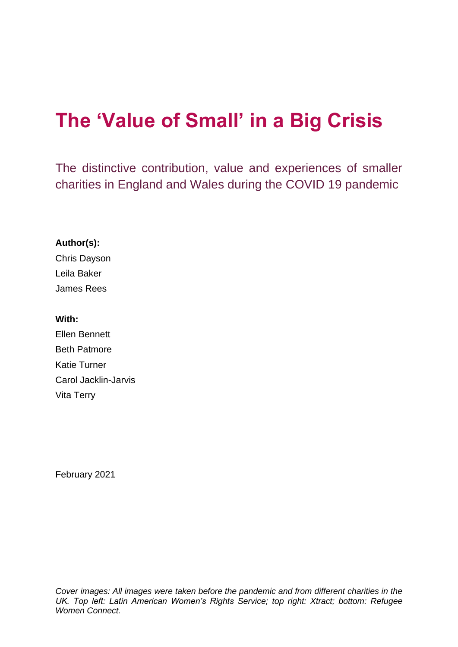# **The 'Value of Small' in a Big Crisis**

The distinctive contribution, value and experiences of smaller charities in England and Wales during the COVID 19 pandemic

#### **Author(s):**

Chris Dayson Leila Baker James Rees

#### **With:**

Ellen Bennett Beth Patmore Katie Turner Carol Jacklin-Jarvis Vita Terry

February 2021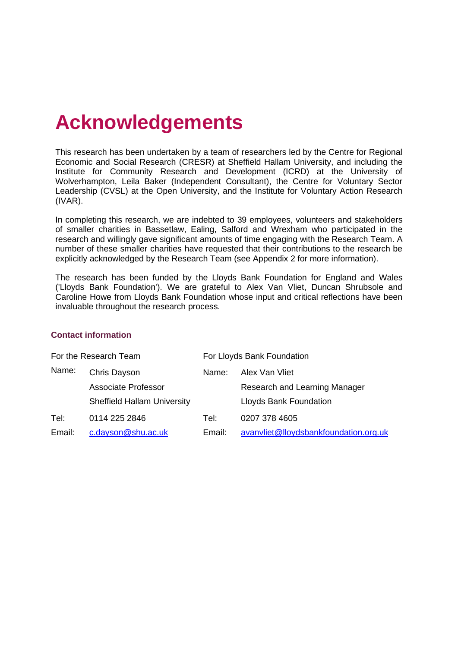# **Acknowledgements**

This research has been undertaken by a team of researchers led by the Centre for Regional Economic and Social Research (CRESR) at Sheffield Hallam University, and including the Institute for Community Research and Development (ICRD) at the University of Wolverhampton, Leila Baker (Independent Consultant), the Centre for Voluntary Sector Leadership (CVSL) at the Open University, and the Institute for Voluntary Action Research (IVAR).

In completing this research, we are indebted to 39 employees, volunteers and stakeholders of smaller charities in Bassetlaw, Ealing, Salford and Wrexham who participated in the research and willingly gave significant amounts of time engaging with the Research Team. A number of these smaller charities have requested that their contributions to the research be explicitly acknowledged by the Research Team (see Appendix 2 for more information).

The research has been funded by the Lloyds Bank Foundation for England and Wales ('Lloyds Bank Foundation'). We are grateful to Alex Van Vliet, Duncan Shrubsole and Caroline Howe from Lloyds Bank Foundation whose input and critical reflections have been invaluable throughout the research process.

#### **Contact information**

| For the Research Team |                                    | For Lloyds Bank Foundation |                                       |  |
|-----------------------|------------------------------------|----------------------------|---------------------------------------|--|
| Name:                 | Chris Dayson                       | Name:                      | Alex Van Vliet                        |  |
|                       | Associate Professor                |                            | Research and Learning Manager         |  |
|                       | <b>Sheffield Hallam University</b> |                            | Lloyds Bank Foundation                |  |
| Tel:                  | 0114 225 2846                      | Tel:                       | 0207 378 4605                         |  |
| Email:                | c.dayson@shu.ac.uk                 | Email:                     | avanvliet@lloydsbankfoundation.org.uk |  |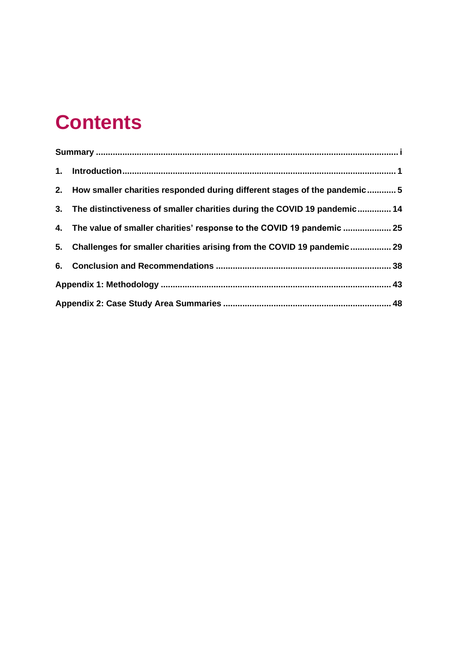# **Contents**

| 2. How smaller charities responded during different stages of the pandemic5 |  |
|-----------------------------------------------------------------------------|--|
| 3. The distinctiveness of smaller charities during the COVID 19 pandemic 14 |  |
| 4. The value of smaller charities' response to the COVID 19 pandemic  25    |  |
| 5. Challenges for smaller charities arising from the COVID 19 pandemic 29   |  |
|                                                                             |  |
|                                                                             |  |
|                                                                             |  |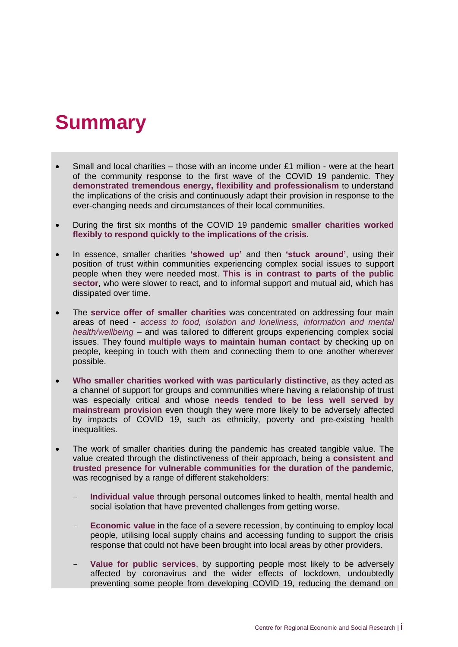## <span id="page-4-0"></span>**Summary**

- Small and local charities those with an income under  $£1$  million were at the heart of the community response to the first wave of the COVID 19 pandemic. They **demonstrated tremendous energy, flexibility and professionalism** to understand the implications of the crisis and continuously adapt their provision in response to the ever-changing needs and circumstances of their local communities.
- During the first six months of the COVID 19 pandemic **smaller charities worked flexibly to respond quickly to the implications of the crisis**.
- In essence, smaller charities **'showed up'** and then **'stuck around'**, using their position of trust within communities experiencing complex social issues to support people when they were needed most. **This is in contrast to parts of the public sector**, who were slower to react, and to informal support and mutual aid, which has dissipated over time.
- The **service offer of smaller charities** was concentrated on addressing four main areas of need - *access to food, isolation and loneliness, information and mental health/wellbeing* – and was tailored to different groups experiencing complex social issues. They found **multiple ways to maintain human contact** by checking up on people, keeping in touch with them and connecting them to one another wherever possible.
- **Who smaller charities worked with was particularly distinctive**, as they acted as a channel of support for groups and communities where having a relationship of trust was especially critical and whose **needs tended to be less well served by mainstream provision** even though they were more likely to be adversely affected by impacts of COVID 19, such as ethnicity, poverty and pre-existing health inequalities.
- The work of smaller charities during the pandemic has created tangible value. The value created through the distinctiveness of their approach, being a **consistent and trusted presence for vulnerable communities for the duration of the pandemic**, was recognised by a range of different stakeholders:
	- **Individual value** through personal outcomes linked to health, mental health and social isolation that have prevented challenges from getting worse.
	- **Economic value** in the face of a severe recession, by continuing to employ local people, utilising local supply chains and accessing funding to support the crisis response that could not have been brought into local areas by other providers.
	- Value for public services, by supporting people most likely to be adversely affected by coronavirus and the wider effects of lockdown, undoubtedly preventing some people from developing COVID 19, reducing the demand on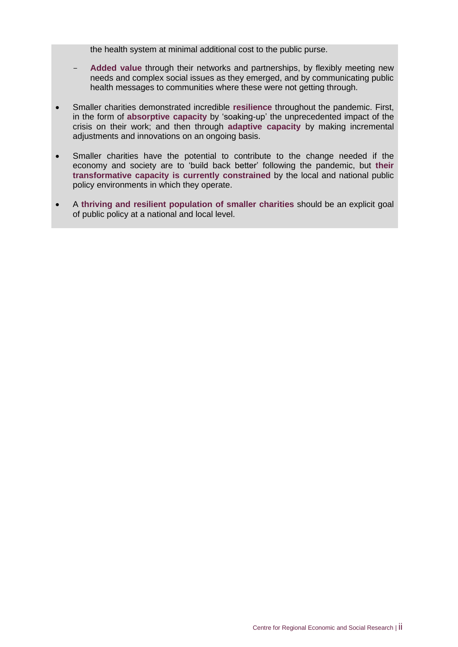the health system at minimal additional cost to the public purse.

- Added value through their networks and partnerships, by flexibly meeting new needs and complex social issues as they emerged, and by communicating public health messages to communities where these were not getting through.
- Smaller charities demonstrated incredible **resilience** throughout the pandemic. First, in the form of **absorptive capacity** by 'soaking-up' the unprecedented impact of the crisis on their work; and then through **adaptive capacity** by making incremental adjustments and innovations on an ongoing basis.
- Smaller charities have the potential to contribute to the change needed if the economy and society are to 'build back better' following the pandemic, but **their transformative capacity is currently constrained** by the local and national public policy environments in which they operate.
- A **thriving and resilient population of smaller charities** should be an explicit goal of public policy at a national and local level.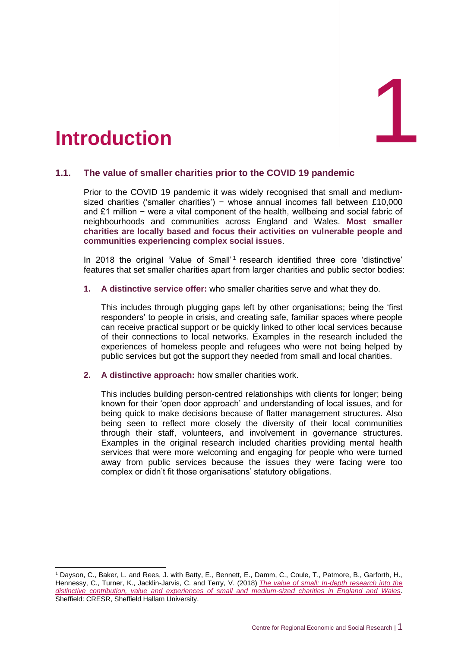<span id="page-6-0"></span>

#### **1.1. The value of smaller charities prior to the COVID 19 pandemic**

Prior to the COVID 19 pandemic it was widely recognised that small and mediumsized charities ('smaller charities') − whose annual incomes fall between £10,000 and £1 million − were a vital component of the health, wellbeing and social fabric of neighbourhoods and communities across England and Wales. **Most smaller charities are locally based and focus their activities on vulnerable people and communities experiencing complex social issues**.

In 2018 the original 'Value of Small'<sup>1</sup> research identified three core 'distinctive' features that set smaller charities apart from larger charities and public sector bodies:

**1. A distinctive service offer:** who smaller charities serve and what they do.

This includes through plugging gaps left by other organisations; being the 'first responders' to people in crisis, and creating safe, familiar spaces where people can receive practical support or be quickly linked to other local services because of their connections to local networks. Examples in the research included the experiences of homeless people and refugees who were not being helped by public services but got the support they needed from small and local charities.

**2. A distinctive approach:** how smaller charities work.

This includes building person-centred relationships with clients for longer; being known for their 'open door approach' and understanding of local issues, and for being quick to make decisions because of flatter management structures. Also being seen to reflect more closely the diversity of their local communities through their staff, volunteers, and involvement in governance structures. Examples in the original research included charities providing mental health services that were more welcoming and engaging for people who were turned away from public services because the issues they were facing were too complex or didn't fit those organisations' statutory obligations.

<sup>1</sup> Dayson, C., Baker, L. and Rees, J. with Batty, E., Bennett, E., Damm, C., Coule, T., Patmore, B., Garforth, H., Hennessy, C., Turner, K., Jacklin-Jarvis, C. and Terry, V. (2018) *[The value of small: In-depth research into the](https://www4.shu.ac.uk/research/cresr/sites/shu.ac.uk/files/value-of-small-final.pdf)  [distinctive contribution, value and experiences of small and medium-sized charities in England and Wales.](https://www4.shu.ac.uk/research/cresr/sites/shu.ac.uk/files/value-of-small-final.pdf)*  Sheffield: CRESR, Sheffield Hallam University.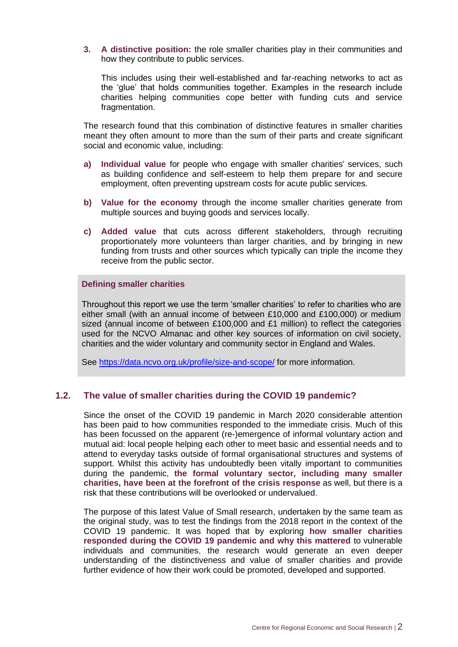**3. A distinctive position:** the role smaller charities play in their communities and how they contribute to public services.

This includes using their well-established and far-reaching networks to act as the 'glue' that holds communities together. Examples in the research include charities helping communities cope better with funding cuts and service fragmentation.

The research found that this combination of distinctive features in smaller charities meant they often amount to more than the sum of their parts and create significant social and economic value, including:

- **a) Individual value** for people who engage with smaller charities' services, such as building confidence and self-esteem to help them prepare for and secure employment, often preventing upstream costs for acute public services.
- **b) Value for the economy** through the income smaller charities generate from multiple sources and buying goods and services locally.
- **c) Added value** that cuts across different stakeholders, through recruiting proportionately more volunteers than larger charities, and by bringing in new funding from trusts and other sources which typically can triple the income they receive from the public sector.

#### **Defining smaller charities**

Throughout this report we use the term 'smaller charities' to refer to charities who are either small (with an annual income of between £10,000 and £100,000) or medium sized (annual income of between £100,000 and £1 million) to reflect the categories used for the NCVO Almanac and other key sources of information on civil society, charities and the wider voluntary and community sector in England and Wales.

See<https://data.ncvo.org.uk/profile/size-and-scope/> for more information.

#### **1.2. The value of smaller charities during the COVID 19 pandemic?**

Since the onset of the COVID 19 pandemic in March 2020 considerable attention has been paid to how communities responded to the immediate crisis. Much of this has been focussed on the apparent (re-)emergence of informal voluntary action and mutual aid: local people helping each other to meet basic and essential needs and to attend to everyday tasks outside of formal organisational structures and systems of support. Whilst this activity has undoubtedly been vitally important to communities during the pandemic, **the formal voluntary sector, including many smaller charities, have been at the forefront of the crisis response** as well, but there is a risk that these contributions will be overlooked or undervalued.

The purpose of this latest Value of Small research, undertaken by the same team as the original study, was to test the findings from the 2018 report in the context of the COVID 19 pandemic. It was hoped that by exploring **how smaller charities responded during the COVID 19 pandemic and why this mattered** to vulnerable individuals and communities, the research would generate an even deeper understanding of the distinctiveness and value of smaller charities and provide further evidence of how their work could be promoted, developed and supported.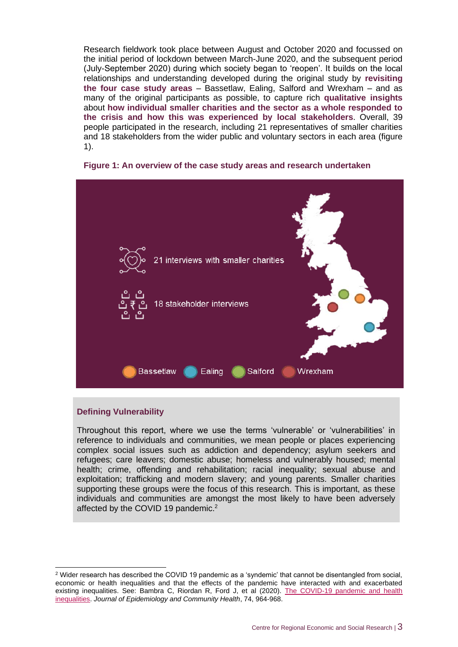Research fieldwork took place between August and October 2020 and focussed on the initial period of lockdown between March-June 2020, and the subsequent period (July-September 2020) during which society began to 'reopen'. It builds on the local relationships and understanding developed during the original study by **revisiting the four case study areas** – Bassetlaw, Ealing, Salford and Wrexham – and as many of the original participants as possible, to capture rich **qualitative insights**  about **how individual smaller charities and the sector as a whole responded to the crisis and how this was experienced by local stakeholders**. Overall, 39 people participated in the research, including 21 representatives of smaller charities and 18 stakeholders from the wider public and voluntary sectors in each area (figure 1).



#### **Figure 1: An overview of the case study areas and research undertaken**

#### **Defining Vulnerability**

Throughout this report, where we use the terms 'vulnerable' or 'vulnerabilities' in reference to individuals and communities, we mean people or places experiencing complex social issues such as addiction and dependency; asylum seekers and refugees; care leavers; domestic abuse; homeless and vulnerably housed; mental health; crime, offending and rehabilitation; racial inequality; sexual abuse and exploitation; trafficking and modern slavery; and young parents. Smaller charities supporting these groups were the focus of this research. This is important, as these individuals and communities are amongst the most likely to have been adversely affected by the COVID 19 pandemic.<sup>2</sup>

<sup>2</sup> Wider research has described the COVID 19 pandemic as a 'syndemic' that cannot be disentangled from social, economic or health inequalities and that the effects of the pandemic have interacted with and exacerbated existing inequalities. See: Bambra C, Riordan R, Ford J, et al (2020). [The COVID-19 pandemic and health](https://jech.bmj.com/content/74/11/964)  [inequalities.](https://jech.bmj.com/content/74/11/964) *Journal of Epidemiology and Community Health*, 74, 964-968.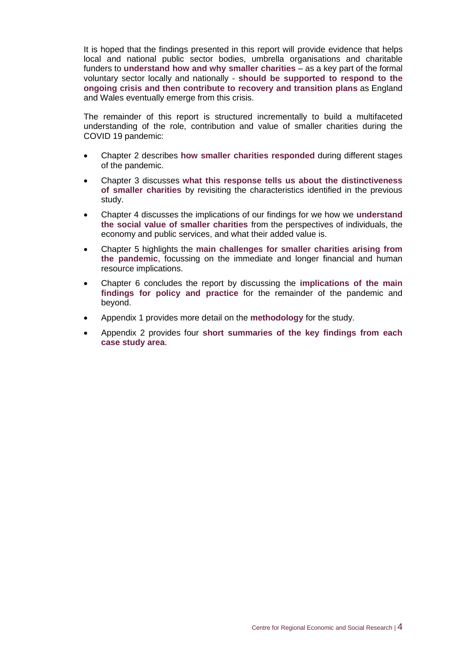It is hoped that the findings presented in this report will provide evidence that helps local and national public sector bodies, umbrella organisations and charitable funders to **understand how and why smaller charities** – as a key part of the formal voluntary sector locally and nationally - **should be supported to respond to the ongoing crisis and then contribute to recovery and transition plans** as England and Wales eventually emerge from this crisis.

The remainder of this report is structured incrementally to build a multifaceted understanding of the role, contribution and value of smaller charities during the COVID 19 pandemic:

- Chapter 2 describes **how smaller charities responded** during different stages of the pandemic.
- Chapter 3 discusses **what this response tells us about the distinctiveness of smaller charities** by revisiting the characteristics identified in the previous study.
- Chapter 4 discusses the implications of our findings for we how we **understand the social value of smaller charities** from the perspectives of individuals, the economy and public services, and what their added value is.
- Chapter 5 highlights the **main challenges for smaller charities arising from the pandemic**, focussing on the immediate and longer financial and human resource implications.
- Chapter 6 concludes the report by discussing the **implications of the main findings for policy and practice** for the remainder of the pandemic and beyond.
- Appendix 1 provides more detail on the **methodology** for the study.
- Appendix 2 provides four **short summaries of the key findings from each case study area**.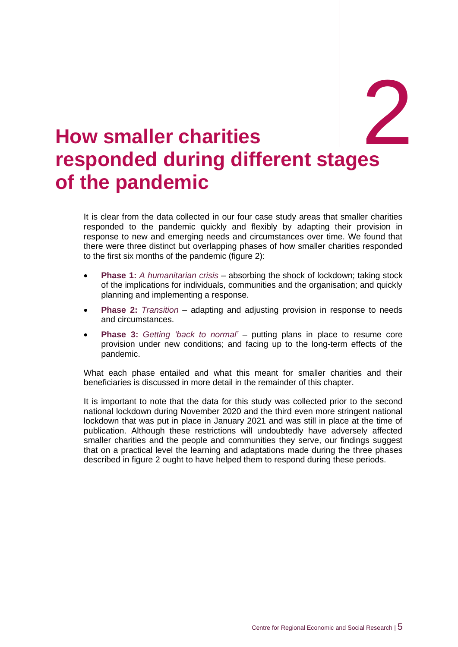2

# <span id="page-10-0"></span>2. **How smaller charities responded during different stages of the pandemic**

It is clear from the data collected in our four case study areas that smaller charities responded to the pandemic quickly and flexibly by adapting their provision in response to new and emerging needs and circumstances over time. We found that there were three distinct but overlapping phases of how smaller charities responded to the first six months of the pandemic (figure 2):

- **Phase 1:** *A humanitarian crisis* absorbing the shock of lockdown; taking stock of the implications for individuals, communities and the organisation; and quickly planning and implementing a response.
- **Phase 2:** *Transition* adapting and adjusting provision in response to needs and circumstances.
- **Phase 3:** *Getting 'back to normal'* putting plans in place to resume core provision under new conditions; and facing up to the long-term effects of the pandemic.

What each phase entailed and what this meant for smaller charities and their beneficiaries is discussed in more detail in the remainder of this chapter.

It is important to note that the data for this study was collected prior to the second national lockdown during November 2020 and the third even more stringent national lockdown that was put in place in January 2021 and was still in place at the time of publication. Although these restrictions will undoubtedly have adversely affected smaller charities and the people and communities they serve, our findings suggest that on a practical level the learning and adaptations made during the three phases described in figure 2 ought to have helped them to respond during these periods.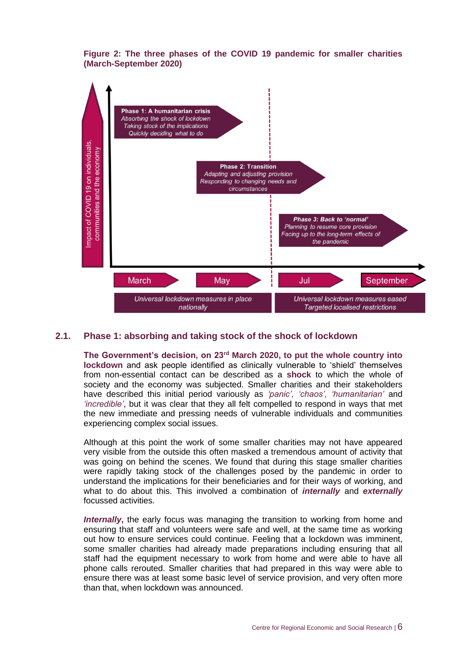#### **Figure 2: The three phases of the COVID 19 pandemic for smaller charities (March-September 2020)**



#### **2.1. Phase 1: absorbing and taking stock of the shock of lockdown**

**The Government's decision, on 23rd March 2020, to put the whole country into lockdown** and ask people identified as clinically vulnerable to 'shield' themselves from non-essential contact can be described as a **shock** to which the whole of society and the economy was subjected. Smaller charities and their stakeholders have described this initial period variously as *'panic', 'chaos', 'humanitarian'* and *'incredible'*, but it was clear that they all felt compelled to respond in ways that met the new immediate and pressing needs of vulnerable individuals and communities experiencing complex social issues.

Although at this point the work of some smaller charities may not have appeared very visible from the outside this often masked a tremendous amount of activity that was going on behind the scenes. We found that during this stage smaller charities were rapidly taking stock of the challenges posed by the pandemic in order to understand the implications for their beneficiaries and for their ways of working, and what to do about this. This involved a combination of *internally* and *externally* focussed activities.

*Internally***,** the early focus was managing the transition to working from home and ensuring that staff and volunteers were safe and well, at the same time as working out how to ensure services could continue. Feeling that a lockdown was imminent, some smaller charities had already made preparations including ensuring that all staff had the equipment necessary to work from home and were able to have all phone calls rerouted. Smaller charities that had prepared in this way were able to ensure there was at least some basic level of service provision, and very often more than that, when lockdown was announced.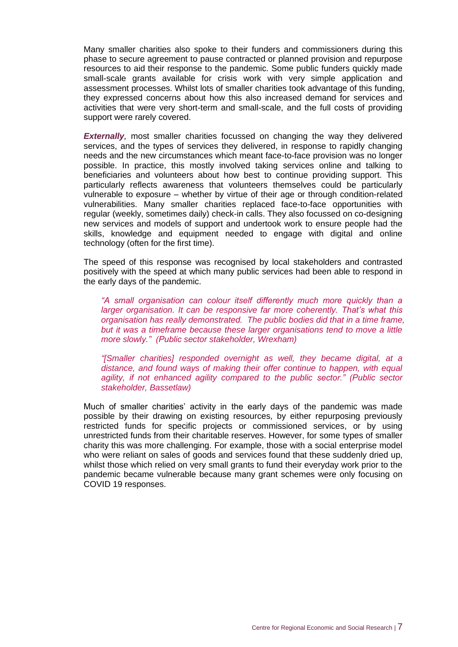Many smaller charities also spoke to their funders and commissioners during this phase to secure agreement to pause contracted or planned provision and repurpose resources to aid their response to the pandemic. Some public funders quickly made small-scale grants available for crisis work with very simple application and assessment processes. Whilst lots of smaller charities took advantage of this funding, they expressed concerns about how this also increased demand for services and activities that were very short-term and small-scale, and the full costs of providing support were rarely covered.

**Externally**, most smaller charities focussed on changing the way they delivered services, and the types of services they delivered, in response to rapidly changing needs and the new circumstances which meant face-to-face provision was no longer possible. In practice, this mostly involved taking services online and talking to beneficiaries and volunteers about how best to continue providing support. This particularly reflects awareness that volunteers themselves could be particularly vulnerable to exposure – whether by virtue of their age or through condition-related vulnerabilities. Many smaller charities replaced face-to-face opportunities with regular (weekly, sometimes daily) check-in calls. They also focussed on co-designing new services and models of support and undertook work to ensure people had the skills, knowledge and equipment needed to engage with digital and online technology (often for the first time).

The speed of this response was recognised by local stakeholders and contrasted positively with the speed at which many public services had been able to respond in the early days of the pandemic.

*"A small organisation can colour itself differently much more quickly than a larger organisation. It can be responsive far more coherently. That's what this organisation has really demonstrated. The public bodies did that in a time frame, but it was a timeframe because these larger organisations tend to move a little more slowly." (Public sector stakeholder, Wrexham)*

*"[Smaller charities] responded overnight as well, they became digital, at a distance, and found ways of making their offer continue to happen, with equal agility, if not enhanced agility compared to the public sector." (Public sector stakeholder, Bassetlaw)*

Much of smaller charities' activity in the early days of the pandemic was made possible by their drawing on existing resources, by either repurposing previously restricted funds for specific projects or commissioned services, or by using unrestricted funds from their charitable reserves. However, for some types of smaller charity this was more challenging. For example, those with a social enterprise model who were reliant on sales of goods and services found that these suddenly dried up, whilst those which relied on very small grants to fund their everyday work prior to the pandemic became vulnerable because many grant schemes were only focusing on COVID 19 responses.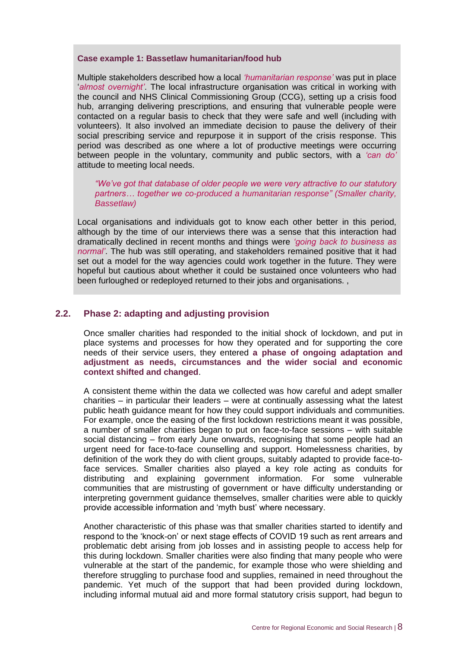#### **Case example 1: Bassetlaw humanitarian/food hub**

Multiple stakeholders described how a local *'humanitarian response'* was put in place '*almost overnight'*. The local infrastructure organisation was critical in working with the council and NHS Clinical Commissioning Group (CCG), setting up a crisis food hub, arranging delivering prescriptions, and ensuring that vulnerable people were contacted on a regular basis to check that they were safe and well (including with volunteers). It also involved an immediate decision to pause the delivery of their social prescribing service and repurpose it in support of the crisis response. This period was described as one where a lot of productive meetings were occurring between people in the voluntary, community and public sectors, with a *'can do'* attitude to meeting local needs.

*"We've got that database of older people we were very attractive to our statutory partners… together we co-produced a humanitarian response" (Smaller charity, Bassetlaw)*

Local organisations and individuals got to know each other better in this period, although by the time of our interviews there was a sense that this interaction had dramatically declined in recent months and things were *'going back to business as normal'*. The hub was still operating, and stakeholders remained positive that it had set out a model for the way agencies could work together in the future. They were hopeful but cautious about whether it could be sustained once volunteers who had been furloughed or redeployed returned to their jobs and organisations. ,

#### **2.2. Phase 2: adapting and adjusting provision**

Once smaller charities had responded to the initial shock of lockdown, and put in place systems and processes for how they operated and for supporting the core needs of their service users, they entered **a phase of ongoing adaptation and adjustment as needs, circumstances and the wider social and economic context shifted and changed**.

A consistent theme within the data we collected was how careful and adept smaller charities – in particular their leaders – were at continually assessing what the latest public heath guidance meant for how they could support individuals and communities. For example, once the easing of the first lockdown restrictions meant it was possible, a number of smaller charities began to put on face-to-face sessions – with suitable social distancing – from early June onwards, recognising that some people had an urgent need for face-to-face counselling and support. Homelessness charities, by definition of the work they do with client groups, suitably adapted to provide face-toface services. Smaller charities also played a key role acting as conduits for distributing and explaining government information. For some vulnerable communities that are mistrusting of government or have difficulty understanding or interpreting government guidance themselves, smaller charities were able to quickly provide accessible information and 'myth bust' where necessary.

Another characteristic of this phase was that smaller charities started to identify and respond to the 'knock-on' or next stage effects of COVID 19 such as rent arrears and problematic debt arising from job losses and in assisting people to access help for this during lockdown. Smaller charities were also finding that many people who were vulnerable at the start of the pandemic, for example those who were shielding and therefore struggling to purchase food and supplies, remained in need throughout the pandemic. Yet much of the support that had been provided during lockdown, including informal mutual aid and more formal statutory crisis support, had begun to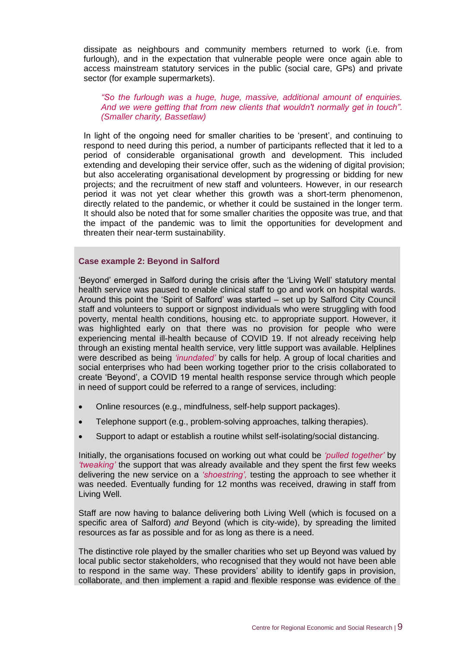dissipate as neighbours and community members returned to work (i.e. from furlough), and in the expectation that vulnerable people were once again able to access mainstream statutory services in the public (social care, GPs) and private sector (for example supermarkets).

#### *"So the furlough was a huge, huge, massive, additional amount of enquiries. And we were getting that from new clients that wouldn't normally get in touch". (Smaller charity, Bassetlaw)*

In light of the ongoing need for smaller charities to be 'present', and continuing to respond to need during this period, a number of participants reflected that it led to a period of considerable organisational growth and development. This included extending and developing their service offer, such as the widening of digital provision; but also accelerating organisational development by progressing or bidding for new projects; and the recruitment of new staff and volunteers. However, in our research period it was not yet clear whether this growth was a short-term phenomenon, directly related to the pandemic, or whether it could be sustained in the longer term. It should also be noted that for some smaller charities the opposite was true, and that the impact of the pandemic was to limit the opportunities for development and threaten their near-term sustainability.

#### **Case example 2: Beyond in Salford**

'Beyond' emerged in Salford during the crisis after the 'Living Well' statutory mental health service was paused to enable clinical staff to go and work on hospital wards. Around this point the 'Spirit of Salford' was started – set up by Salford City Council staff and volunteers to support or signpost individuals who were struggling with food poverty, mental health conditions, housing etc. to appropriate support. However, it was highlighted early on that there was no provision for people who were experiencing mental ill-health because of COVID 19. If not already receiving help through an existing mental health service, very little support was available. Helplines were described as being *'inundated'* by calls for help. A group of local charities and social enterprises who had been working together prior to the crisis collaborated to create 'Beyond', a COVID 19 mental health response service through which people in need of support could be referred to a range of services, including:

- Online resources (e.g., mindfulness, self-help support packages).
- Telephone support (e.g., problem-solving approaches, talking therapies).
- Support to adapt or establish a routine whilst self-isolating/social distancing.

Initially, the organisations focused on working out what could be *'pulled together'* by *'tweaking'* the support that was already available and they spent the first few weeks delivering the new service on a *'shoestring',* testing the approach to see whether it was needed. Eventually funding for 12 months was received, drawing in staff from Living Well.

Staff are now having to balance delivering both Living Well (which is focused on a specific area of Salford) *and* Beyond (which is city-wide), by spreading the limited resources as far as possible and for as long as there is a need.

The distinctive role played by the smaller charities who set up Beyond was valued by local public sector stakeholders, who recognised that they would not have been able to respond in the same way. These providers' ability to identify gaps in provision, collaborate, and then implement a rapid and flexible response was evidence of the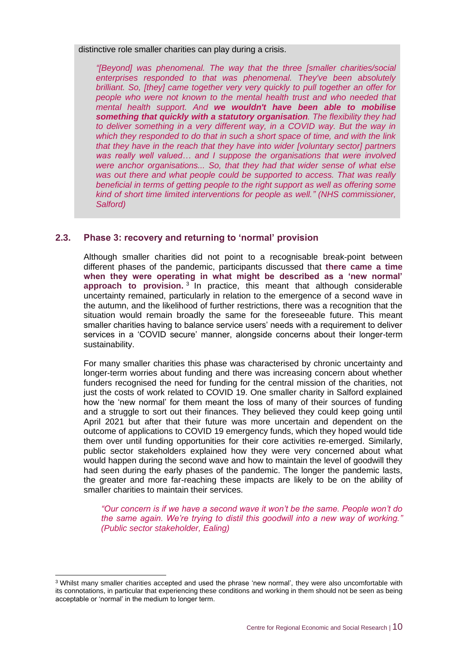distinctive role smaller charities can play during a crisis.

*"[Beyond] was phenomenal. The way that the three [smaller charities/social enterprises responded to that was phenomenal. They've been absolutely brilliant. So, [they] came together very very quickly to pull together an offer for people who were not known to the mental health trust and who needed that mental health support. And we wouldn't have been able to mobilise something that quickly with a statutory organisation. The flexibility they had to deliver something in a very different way, in a COVID way. But the way in which they responded to do that in such a short space of time, and with the link that they have in the reach that they have into wider [voluntary sector] partners was really well valued… and I suppose the organisations that were involved were anchor organisations... So, that they had that wider sense of what else was out there and what people could be supported to access. That was really beneficial in terms of getting people to the right support as well as offering some kind of short time limited interventions for people as well." (NHS commissioner, Salford)*

#### **2.3. Phase 3: recovery and returning to 'normal' provision**

Although smaller charities did not point to a recognisable break-point between different phases of the pandemic, participants discussed that **there came a time when they were operating in what might be described as a 'new normal' approach to provision.** 3 In practice, this meant that although considerable uncertainty remained, particularly in relation to the emergence of a second wave in the autumn, and the likelihood of further restrictions, there was a recognition that the situation would remain broadly the same for the foreseeable future. This meant smaller charities having to balance service users' needs with a requirement to deliver services in a 'COVID secure' manner, alongside concerns about their longer-term sustainability.

For many smaller charities this phase was characterised by chronic uncertainty and longer-term worries about funding and there was increasing concern about whether funders recognised the need for funding for the central mission of the charities, not just the costs of work related to COVID 19. One smaller charity in Salford explained how the 'new normal' for them meant the loss of many of their sources of funding and a struggle to sort out their finances. They believed they could keep going until April 2021 but after that their future was more uncertain and dependent on the outcome of applications to COVID 19 emergency funds, which they hoped would tide them over until funding opportunities for their core activities re-emerged. Similarly, public sector stakeholders explained how they were very concerned about what would happen during the second wave and how to maintain the level of goodwill they had seen during the early phases of the pandemic. The longer the pandemic lasts, the greater and more far-reaching these impacts are likely to be on the ability of smaller charities to maintain their services.

*"Our concern is if we have a second wave it won't be the same. People won't do the same again. We're trying to distil this goodwill into a new way of working." (Public sector stakeholder, Ealing)*

<sup>3</sup> Whilst many smaller charities accepted and used the phrase 'new normal', they were also uncomfortable with its connotations, in particular that experiencing these conditions and working in them should not be seen as being acceptable or 'normal' in the medium to longer term.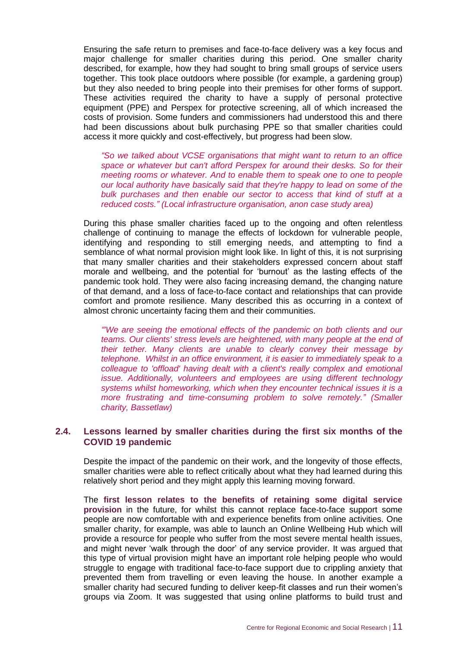Ensuring the safe return to premises and face-to-face delivery was a key focus and major challenge for smaller charities during this period. One smaller charity described, for example, how they had sought to bring small groups of service users together. This took place outdoors where possible (for example, a gardening group) but they also needed to bring people into their premises for other forms of support. These activities required the charity to have a supply of personal protective equipment (PPE) and Perspex for protective screening, all of which increased the costs of provision. Some funders and commissioners had understood this and there had been discussions about bulk purchasing PPE so that smaller charities could access it more quickly and cost-effectively, but progress had been slow.

*"So we talked about VCSE organisations that might want to return to an office space or whatever but can't afford Perspex for around their desks. So for their meeting rooms or whatever. And to enable them to speak one to one to people our local authority have basically said that they're happy to lead on some of the bulk purchases and then enable our sector to access that kind of stuff at a reduced costs." (Local infrastructure organisation, anon case study area)*

During this phase smaller charities faced up to the ongoing and often relentless challenge of continuing to manage the effects of lockdown for vulnerable people, identifying and responding to still emerging needs, and attempting to find a semblance of what normal provision might look like. In light of this, it is not surprising that many smaller charities and their stakeholders expressed concern about staff morale and wellbeing, and the potential for 'burnout' as the lasting effects of the pandemic took hold. They were also facing increasing demand, the changing nature of that demand, and a loss of face-to-face contact and relationships that can provide comfort and promote resilience. Many described this as occurring in a context of almost chronic uncertainty facing them and their communities.

*"'We are seeing the emotional effects of the pandemic on both clients and our teams. Our clients' stress levels are heightened, with many people at the end of their tether. Many clients are unable to clearly convey their message by telephone. Whilst in an office environment, it is easier to immediately speak to a colleague to 'offload' having dealt with a client's really complex and emotional issue. Additionally, volunteers and employees are using different technology systems whilst homeworking, which when they encounter technical issues it is a more frustrating and time-consuming problem to solve remotely." (Smaller charity, Bassetlaw)*

#### **2.4. Lessons learned by smaller charities during the first six months of the COVID 19 pandemic**

Despite the impact of the pandemic on their work, and the longevity of those effects, smaller charities were able to reflect critically about what they had learned during this relatively short period and they might apply this learning moving forward.

The **first lesson relates to the benefits of retaining some digital service provision** in the future, for whilst this cannot replace face-to-face support some people are now comfortable with and experience benefits from online activities. One smaller charity, for example, was able to launch an Online Wellbeing Hub which will provide a resource for people who suffer from the most severe mental health issues, and might never 'walk through the door' of any service provider. It was argued that this type of virtual provision might have an important role helping people who would struggle to engage with traditional face-to-face support due to crippling anxiety that prevented them from travelling or even leaving the house. In another example a smaller charity had secured funding to deliver keep-fit classes and run their women's groups via Zoom. It was suggested that using online platforms to build trust and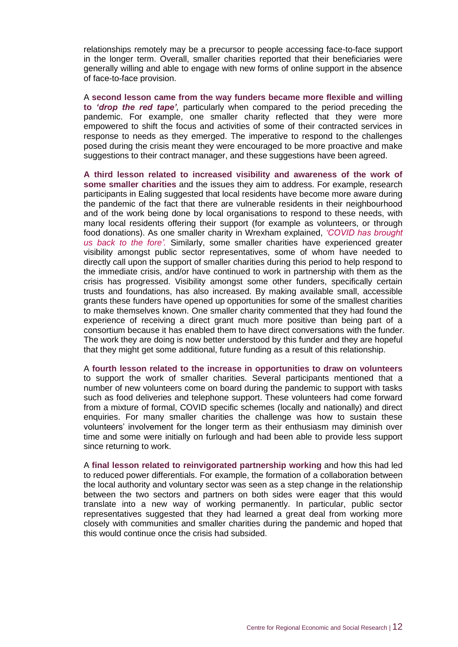relationships remotely may be a precursor to people accessing face-to-face support in the longer term. Overall, smaller charities reported that their beneficiaries were generally willing and able to engage with new forms of online support in the absence of face-to-face provision.

A **second lesson came from the way funders became more flexible and willing to** *'drop the red tape',* particularly when compared to the period preceding the pandemic. For example, one smaller charity reflected that they were more empowered to shift the focus and activities of some of their contracted services in response to needs as they emerged. The imperative to respond to the challenges posed during the crisis meant they were encouraged to be more proactive and make suggestions to their contract manager, and these suggestions have been agreed.

**A third lesson related to increased visibility and awareness of the work of some smaller charities** and the issues they aim to address. For example, research participants in Ealing suggested that local residents have become more aware during the pandemic of the fact that there are vulnerable residents in their neighbourhood and of the work being done by local organisations to respond to these needs, with many local residents offering their support (for example as volunteers, or through food donations). As one smaller charity in Wrexham explained, *'COVID has brought us back to the fore'.* Similarly, some smaller charities have experienced greater visibility amongst public sector representatives, some of whom have needed to directly call upon the support of smaller charities during this period to help respond to the immediate crisis, and/or have continued to work in partnership with them as the crisis has progressed. Visibility amongst some other funders, specifically certain trusts and foundations, has also increased. By making available small, accessible grants these funders have opened up opportunities for some of the smallest charities to make themselves known. One smaller charity commented that they had found the experience of receiving a direct grant much more positive than being part of a consortium because it has enabled them to have direct conversations with the funder. The work they are doing is now better understood by this funder and they are hopeful that they might get some additional, future funding as a result of this relationship.

A **fourth lesson related to the increase in opportunities to draw on volunteers** to support the work of smaller charities. Several participants mentioned that a number of new volunteers come on board during the pandemic to support with tasks such as food deliveries and telephone support. These volunteers had come forward from a mixture of formal, COVID specific schemes (locally and nationally) and direct enquiries. For many smaller charities the challenge was how to sustain these volunteers' involvement for the longer term as their enthusiasm may diminish over time and some were initially on furlough and had been able to provide less support since returning to work.

A **final lesson related to reinvigorated partnership working** and how this had led to reduced power differentials. For example, the formation of a collaboration between the local authority and voluntary sector was seen as a step change in the relationship between the two sectors and partners on both sides were eager that this would translate into a new way of working permanently. In particular, public sector representatives suggested that they had learned a great deal from working more closely with communities and smaller charities during the pandemic and hoped that this would continue once the crisis had subsided.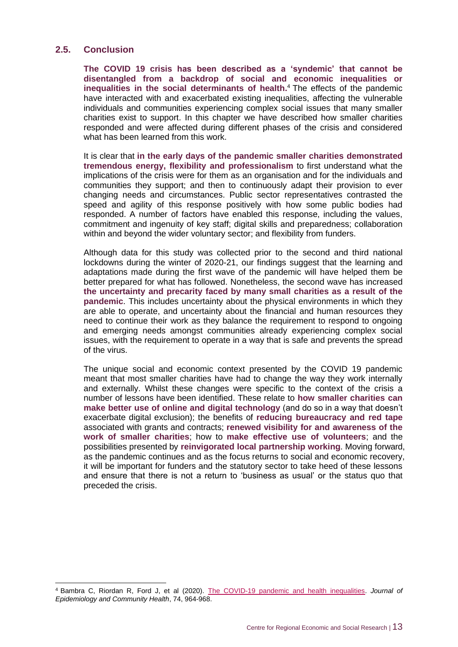#### **2.5. Conclusion**

**The COVID 19 crisis has been described as a 'syndemic' that cannot be disentangled from a backdrop of social and economic inequalities or inequalities in the social determinants of health.** <sup>4</sup> The effects of the pandemic have interacted with and exacerbated existing inequalities, affecting the vulnerable individuals and communities experiencing complex social issues that many smaller charities exist to support. In this chapter we have described how smaller charities responded and were affected during different phases of the crisis and considered what has been learned from this work.

It is clear that **in the early days of the pandemic smaller charities demonstrated tremendous energy, flexibility and professionalism** to first understand what the implications of the crisis were for them as an organisation and for the individuals and communities they support; and then to continuously adapt their provision to ever changing needs and circumstances. Public sector representatives contrasted the speed and agility of this response positively with how some public bodies had responded. A number of factors have enabled this response, including the values, commitment and ingenuity of key staff; digital skills and preparedness; collaboration within and beyond the wider voluntary sector; and flexibility from funders.

Although data for this study was collected prior to the second and third national lockdowns during the winter of 2020-21, our findings suggest that the learning and adaptations made during the first wave of the pandemic will have helped them be better prepared for what has followed. Nonetheless, the second wave has increased **the uncertainty and precarity faced by many small charities as a result of the pandemic**. This includes uncertainty about the physical environments in which they are able to operate, and uncertainty about the financial and human resources they need to continue their work as they balance the requirement to respond to ongoing and emerging needs amongst communities already experiencing complex social issues, with the requirement to operate in a way that is safe and prevents the spread of the virus.

The unique social and economic context presented by the COVID 19 pandemic meant that most smaller charities have had to change the way they work internally and externally. Whilst these changes were specific to the context of the crisis a number of lessons have been identified. These relate to **how smaller charities can make better use of online and digital technology** (and do so in a way that doesn't exacerbate digital exclusion); the benefits of **reducing bureaucracy and red tape**  associated with grants and contracts; **renewed visibility for and awareness of the work of smaller charities**; how to **make effective use of volunteers**; and the possibilities presented by **reinvigorated local partnership working**. Moving forward, as the pandemic continues and as the focus returns to social and economic recovery, it will be important for funders and the statutory sector to take heed of these lessons and ensure that there is not a return to 'business as usual' or the status quo that preceded the crisis.

<sup>4</sup> Bambra C, Riordan R, Ford J, et al (2020). [The COVID-19 pandemic and health inequalities.](https://jech.bmj.com/content/74/11/964) *Journal of Epidemiology and Community Health*, 74, 964-968.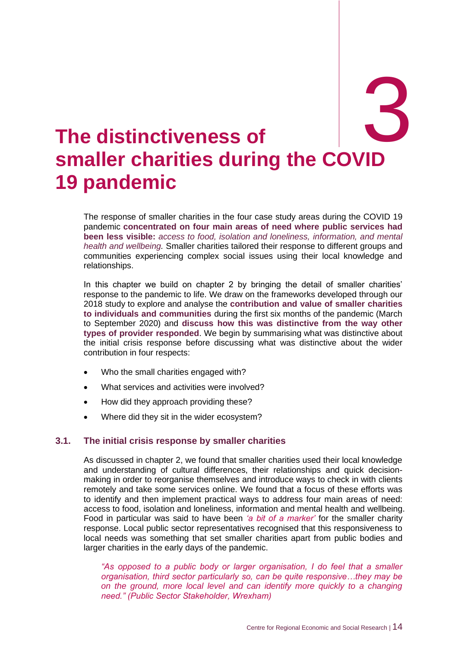# <span id="page-19-0"></span>3. **The distinctiveness of smaller charities during the COVID**  3 **19 pandemic**

The response of smaller charities in the four case study areas during the COVID 19 pandemic **concentrated on four main areas of need where public services had been less visible:** *access to food, isolation and loneliness, information, and mental health and wellbeing.* Smaller charities tailored their response to different groups and communities experiencing complex social issues using their local knowledge and relationships.

In this chapter we build on chapter 2 by bringing the detail of smaller charities' response to the pandemic to life. We draw on the frameworks developed through our 2018 study to explore and analyse the **contribution and value of smaller charities to individuals and communities** during the first six months of the pandemic (March to September 2020) and **discuss how this was distinctive from the way other types of provider responded**. We begin by summarising what was distinctive about the initial crisis response before discussing what was distinctive about the wider contribution in four respects:

- Who the small charities engaged with?
- What services and activities were involved?
- How did they approach providing these?
- Where did they sit in the wider ecosystem?

#### **3.1. The initial crisis response by smaller charities**

As discussed in chapter 2, we found that smaller charities used their local knowledge and understanding of cultural differences, their relationships and quick decisionmaking in order to reorganise themselves and introduce ways to check in with clients remotely and take some services online. We found that a focus of these efforts was to identify and then implement practical ways to address four main areas of need: access to food, isolation and loneliness, information and mental health and wellbeing. Food in particular was said to have been *'a bit of a marker'* for the smaller charity response. Local public sector representatives recognised that this responsiveness to local needs was something that set smaller charities apart from public bodies and larger charities in the early days of the pandemic.

*"As opposed to a public body or larger organisation, I do feel that a smaller organisation, third sector particularly so, can be quite responsive…they may be on the ground, more local level and can identify more quickly to a changing need." (Public Sector Stakeholder, Wrexham)*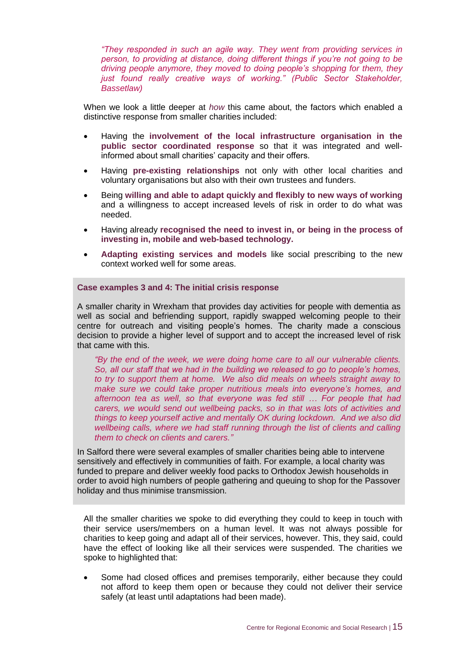*"They responded in such an agile way. They went from providing services in person, to providing at distance, doing different things if you're not going to be driving people anymore, they moved to doing people's shopping for them, they just found really creative ways of working." (Public Sector Stakeholder, Bassetlaw)*

When we look a little deeper at *how* this came about, the factors which enabled a distinctive response from smaller charities included:

- Having the **involvement of the local infrastructure organisation in the public sector coordinated response** so that it was integrated and wellinformed about small charities' capacity and their offers.
- Having **pre-existing relationships** not only with other local charities and voluntary organisations but also with their own trustees and funders.
- Being **willing and able to adapt quickly and flexibly to new ways of working** and a willingness to accept increased levels of risk in order to do what was needed.
- Having already **recognised the need to invest in, or being in the process of investing in, mobile and web-based technology.**
- **Adapting existing services and models** like social prescribing to the new context worked well for some areas.

#### **Case examples 3 and 4: The initial crisis response**

A smaller charity in Wrexham that provides day activities for people with dementia as well as social and befriending support, rapidly swapped welcoming people to their centre for outreach and visiting people's homes. The charity made a conscious decision to provide a higher level of support and to accept the increased level of risk that came with this.

*"By the end of the week, we were doing home care to all our vulnerable clients. So, all our staff that we had in the building we released to go to people's homes, to try to support them at home. We also did meals on wheels straight away to make sure we could take proper nutritious meals into everyone's homes, and afternoon tea as well, so that everyone was fed still … For people that had carers, we would send out wellbeing packs, so in that was lots of activities and things to keep yourself active and mentally OK during lockdown. And we also did wellbeing calls, where we had staff running through the list of clients and calling them to check on clients and carers."*

In Salford there were several examples of smaller charities being able to intervene sensitively and effectively in communities of faith. For example, a local charity was funded to prepare and deliver weekly food packs to Orthodox Jewish households in order to avoid high numbers of people gathering and queuing to shop for the Passover holiday and thus minimise transmission.

All the smaller charities we spoke to did everything they could to keep in touch with their service users/members on a human level. It was not always possible for charities to keep going and adapt all of their services, however. This, they said, could have the effect of looking like all their services were suspended. The charities we spoke to highlighted that:

• Some had closed offices and premises temporarily, either because they could not afford to keep them open or because they could not deliver their service safely (at least until adaptations had been made).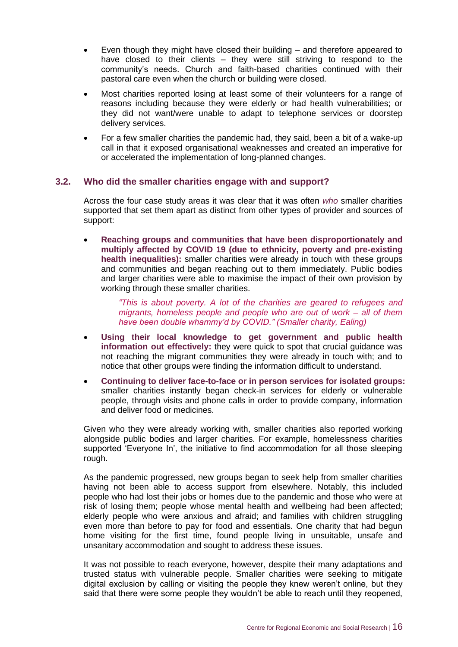- Even though they might have closed their building and therefore appeared to have closed to their clients – they were still striving to respond to the community's needs. Church and faith-based charities continued with their pastoral care even when the church or building were closed.
- Most charities reported losing at least some of their volunteers for a range of reasons including because they were elderly or had health vulnerabilities; or they did not want/were unable to adapt to telephone services or doorstep delivery services.
- For a few smaller charities the pandemic had, they said, been a bit of a wake-up call in that it exposed organisational weaknesses and created an imperative for or accelerated the implementation of long-planned changes.

#### **3.2. Who did the smaller charities engage with and support?**

Across the four case study areas it was clear that it was often *who* smaller charities supported that set them apart as distinct from other types of provider and sources of support:

• **Reaching groups and communities that have been disproportionately and multiply affected by COVID 19 (due to ethnicity, poverty and pre-existing health inequalities):** smaller charities were already in touch with these groups and communities and began reaching out to them immediately. Public bodies and larger charities were able to maximise the impact of their own provision by working through these smaller charities.

> *"This is about poverty. A lot of the charities are geared to refugees and migrants, homeless people and people who are out of work – all of them have been double whammy'd by COVID." (Smaller charity, Ealing)*

- **Using their local knowledge to get government and public health information out effectively:** they were quick to spot that crucial guidance was not reaching the migrant communities they were already in touch with; and to notice that other groups were finding the information difficult to understand.
- **Continuing to deliver face-to-face or in person services for isolated groups:**  smaller charities instantly began check-in services for elderly or vulnerable people, through visits and phone calls in order to provide company, information and deliver food or medicines.

Given who they were already working with, smaller charities also reported working alongside public bodies and larger charities. For example, homelessness charities supported 'Everyone In', the initiative to find accommodation for all those sleeping rough.

As the pandemic progressed, new groups began to seek help from smaller charities having not been able to access support from elsewhere. Notably, this included people who had lost their jobs or homes due to the pandemic and those who were at risk of losing them; people whose mental health and wellbeing had been affected; elderly people who were anxious and afraid; and families with children struggling even more than before to pay for food and essentials. One charity that had begun home visiting for the first time, found people living in unsuitable, unsafe and unsanitary accommodation and sought to address these issues.

It was not possible to reach everyone, however, despite their many adaptations and trusted status with vulnerable people. Smaller charities were seeking to mitigate digital exclusion by calling or visiting the people they knew weren't online, but they said that there were some people they wouldn't be able to reach until they reopened,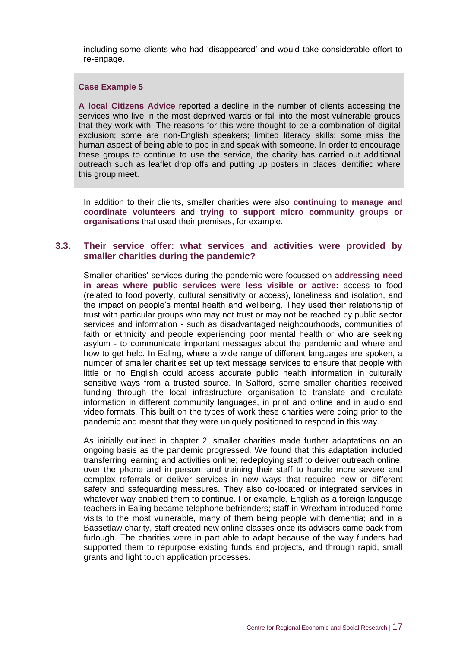including some clients who had 'disappeared' and would take considerable effort to re-engage.

#### **Case Example 5**

**A local Citizens Advice** reported a decline in the number of clients accessing the services who live in the most deprived wards or fall into the most vulnerable groups that they work with. The reasons for this were thought to be a combination of digital exclusion; some are non-English speakers; limited literacy skills; some miss the human aspect of being able to pop in and speak with someone. In order to encourage these groups to continue to use the service, the charity has carried out additional outreach such as leaflet drop offs and putting up posters in places identified where this group meet.

In addition to their clients, smaller charities were also **continuing to manage and coordinate volunteers** and **trying to support micro community groups or organisations** that used their premises, for example.

#### **3.3. Their service offer: what services and activities were provided by smaller charities during the pandemic?**

Smaller charities' services during the pandemic were focussed on **addressing need in areas where public services were less visible or active:** access to food (related to food poverty, cultural sensitivity or access), loneliness and isolation, and the impact on people's mental health and wellbeing. They used their relationship of trust with particular groups who may not trust or may not be reached by public sector services and information - such as disadvantaged neighbourhoods, communities of faith or ethnicity and people experiencing poor mental health or who are seeking asylum - to communicate important messages about the pandemic and where and how to get help. In Ealing, where a wide range of different languages are spoken, a number of smaller charities set up text message services to ensure that people with little or no English could access accurate public health information in culturally sensitive ways from a trusted source. In Salford, some smaller charities received funding through the local infrastructure organisation to translate and circulate information in different community languages, in print and online and in audio and video formats. This built on the types of work these charities were doing prior to the pandemic and meant that they were uniquely positioned to respond in this way.

As initially outlined in chapter 2, smaller charities made further adaptations on an ongoing basis as the pandemic progressed. We found that this adaptation included transferring learning and activities online; redeploying staff to deliver outreach online, over the phone and in person; and training their staff to handle more severe and complex referrals or deliver services in new ways that required new or different safety and safeguarding measures. They also co-located or integrated services in whatever way enabled them to continue. For example, English as a foreign language teachers in Ealing became telephone befrienders; staff in Wrexham introduced home visits to the most vulnerable, many of them being people with dementia; and in a Bassetlaw charity, staff created new online classes once its advisors came back from furlough. The charities were in part able to adapt because of the way funders had supported them to repurpose existing funds and projects, and through rapid, small grants and light touch application processes.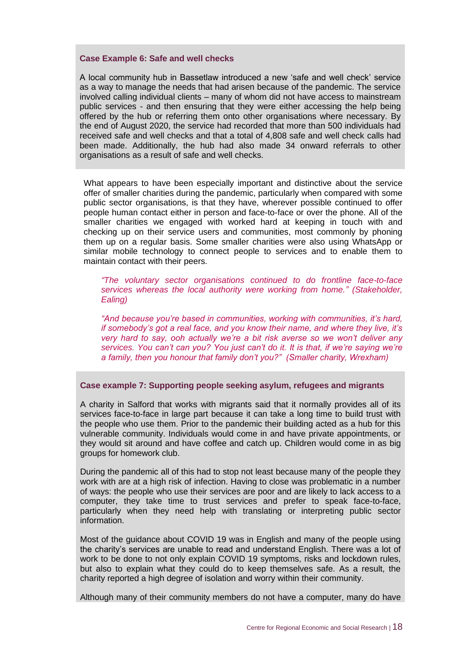#### **Case Example 6: Safe and well checks**

A local community hub in Bassetlaw introduced a new 'safe and well check' service as a way to manage the needs that had arisen because of the pandemic. The service involved calling individual clients – many of whom did not have access to mainstream public services - and then ensuring that they were either accessing the help being offered by the hub or referring them onto other organisations where necessary. By the end of August 2020, the service had recorded that more than 500 individuals had received safe and well checks and that a total of 4,808 safe and well check calls had been made. Additionally, the hub had also made 34 onward referrals to other organisations as a result of safe and well checks.

What appears to have been especially important and distinctive about the service offer of smaller charities during the pandemic, particularly when compared with some public sector organisations, is that they have, wherever possible continued to offer people human contact either in person and face-to-face or over the phone. All of the smaller charities we engaged with worked hard at keeping in touch with and checking up on their service users and communities, most commonly by phoning them up on a regular basis. Some smaller charities were also using WhatsApp or similar mobile technology to connect people to services and to enable them to maintain contact with their peers.

*"The voluntary sector organisations continued to do frontline face-to-face services whereas the local authority were working from home." (Stakeholder, Ealing)*

*"And because you're based in communities, working with communities, it's hard, if somebody's got a real face, and you know their name, and where they live, it's very hard to say, ooh actually we're a bit risk averse so we won't deliver any services. You can't can you? You just can't do it. It is that, if we're saying we're a family, then you honour that family don't you?" (Smaller charity, Wrexham)*

#### **Case example 7: Supporting people seeking asylum, refugees and migrants**

A charity in Salford that works with migrants said that it normally provides all of its services face-to-face in large part because it can take a long time to build trust with the people who use them. Prior to the pandemic their building acted as a hub for this vulnerable community. Individuals would come in and have private appointments, or they would sit around and have coffee and catch up. Children would come in as big groups for homework club.

During the pandemic all of this had to stop not least because many of the people they work with are at a high risk of infection. Having to close was problematic in a number of ways: the people who use their services are poor and are likely to lack access to a computer, they take time to trust services and prefer to speak face-to-face, particularly when they need help with translating or interpreting public sector information.

Most of the guidance about COVID 19 was in English and many of the people using the charity's services are unable to read and understand English. There was a lot of work to be done to not only explain COVID 19 symptoms, risks and lockdown rules, but also to explain what they could do to keep themselves safe. As a result, the charity reported a high degree of isolation and worry within their community.

Although many of their community members do not have a computer, many do have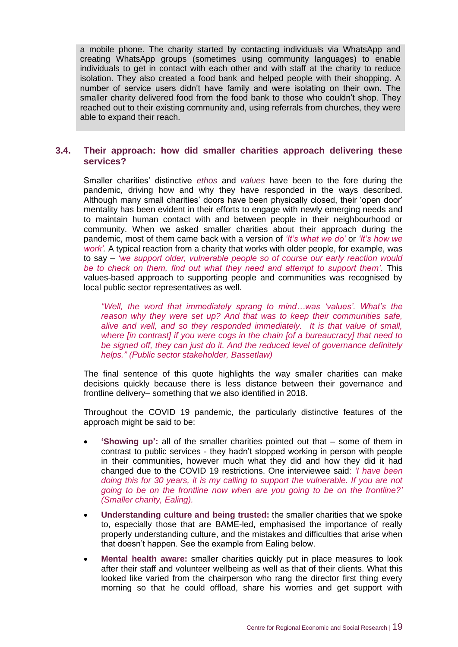a mobile phone. The charity started by contacting individuals via WhatsApp and creating WhatsApp groups (sometimes using community languages) to enable individuals to get in contact with each other and with staff at the charity to reduce isolation. They also created a food bank and helped people with their shopping. A number of service users didn't have family and were isolating on their own. The smaller charity delivered food from the food bank to those who couldn't shop. They reached out to their existing community and, using referrals from churches, they were able to expand their reach.

#### **3.4. Their approach: how did smaller charities approach delivering these services?**

Smaller charities' distinctive *ethos* and *values* have been to the fore during the pandemic, driving how and why they have responded in the ways described. Although many small charities' doors have been physically closed, their 'open door' mentality has been evident in their efforts to engage with newly emerging needs and to maintain human contact with and between people in their neighbourhood or community. When we asked smaller charities about their approach during the pandemic, most of them came back with a version of *'It's what we do'* or *'It's how we work'.* A typical reaction from a charity that works with older people, for example, was to say – *'we support older, vulnerable people so of course our early reaction would be to check on them, find out what they need and attempt to support them'.* This values-based approach to supporting people and communities was recognised by local public sector representatives as well.

*"Well, the word that immediately sprang to mind…was 'values'. What's the reason why they were set up? And that was to keep their communities safe, alive and well, and so they responded immediately. It is that value of small, where [in contrast] if you were cogs in the chain [of a bureaucracy] that need to be signed off, they can just do it. And the reduced level of governance definitely helps." (Public sector stakeholder, Bassetlaw)*

The final sentence of this quote highlights the way smaller charities can make decisions quickly because there is less distance between their governance and frontline delivery– something that we also identified in 2018.

Throughout the COVID 19 pandemic, the particularly distinctive features of the approach might be said to be:

- **'Showing up':** all of the smaller charities pointed out that some of them in contrast to public services - they hadn't stopped working in person with people in their communities, however much what they did and how they did it had changed due to the COVID 19 restrictions. One interviewee said: *'I have been doing this for 30 years, it is my calling to support the vulnerable. If you are not going to be on the frontline now when are you going to be on the frontline?' (Smaller charity, Ealing).*
- **Understanding culture and being trusted:** the smaller charities that we spoke to, especially those that are BAME-led, emphasised the importance of really properly understanding culture, and the mistakes and difficulties that arise when that doesn't happen. See the example from Ealing below.
- **Mental health aware:** smaller charities quickly put in place measures to look after their staff and volunteer wellbeing as well as that of their clients. What this looked like varied from the chairperson who rang the director first thing every morning so that he could offload, share his worries and get support with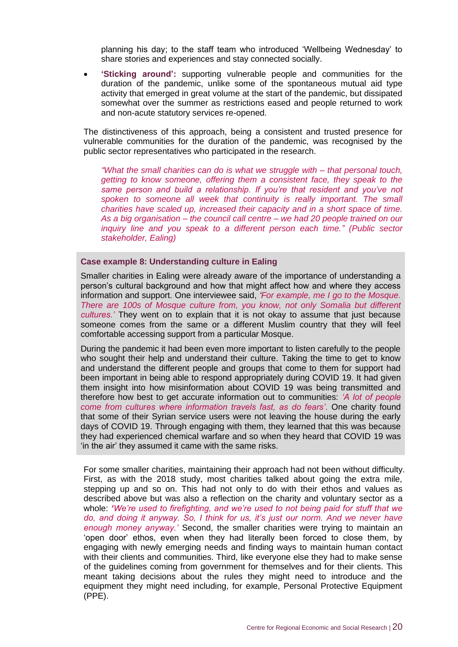planning his day; to the staff team who introduced 'Wellbeing Wednesday' to share stories and experiences and stay connected socially.

• **'Sticking around':** supporting vulnerable people and communities for the duration of the pandemic, unlike some of the spontaneous mutual aid type activity that emerged in great volume at the start of the pandemic, but dissipated somewhat over the summer as restrictions eased and people returned to work and non-acute statutory services re-opened.

The distinctiveness of this approach, being a consistent and trusted presence for vulnerable communities for the duration of the pandemic, was recognised by the public sector representatives who participated in the research.

*"What the small charities can do is what we struggle with – that personal touch, getting to know someone, offering them a consistent face, they speak to the same person and build a relationship. If you're that resident and you've not*  spoken to someone all week that continuity is really important. The small *charities have scaled up, increased their capacity and in a short space of time. As a big organisation – the council call centre – we had 20 people trained on our inquiry line and you speak to a different person each time." (Public sector stakeholder, Ealing)*

#### **Case example 8: Understanding culture in Ealing**

Smaller charities in Ealing were already aware of the importance of understanding a person's cultural background and how that might affect how and where they access information and support. One interviewee said, *'For example, me I go to the Mosque. There are 100s of Mosque culture from, you know, not only Somalia but different cultures.'* They went on to explain that it is not okay to assume that just because someone comes from the same or a different Muslim country that they will feel comfortable accessing support from a particular Mosque.

During the pandemic it had been even more important to listen carefully to the people who sought their help and understand their culture. Taking the time to get to know and understand the different people and groups that come to them for support had been important in being able to respond appropriately during COVID 19. It had given them insight into how misinformation about COVID 19 was being transmitted and therefore how best to get accurate information out to communities: *'A lot of people come from cultures where information travels fast, as do fears'*. One charity found that some of their Syrian service users were not leaving the house during the early days of COVID 19. Through engaging with them, they learned that this was because they had experienced chemical warfare and so when they heard that COVID 19 was 'in the air' they assumed it came with the same risks.

For some smaller charities, maintaining their approach had not been without difficulty. First, as with the 2018 study, most charities talked about going the extra mile, stepping up and so on. This had not only to do with their ethos and values as described above but was also a reflection on the charity and voluntary sector as a whole: *'We're used to firefighting, and we're used to not being paid for stuff that we do, and doing it anyway. So, I think for us, it's just our norm. And we never have enough money anyway.'* Second, the smaller charities were trying to maintain an 'open door' ethos, even when they had literally been forced to close them, by engaging with newly emerging needs and finding ways to maintain human contact with their clients and communities. Third, like everyone else they had to make sense of the guidelines coming from government for themselves and for their clients. This meant taking decisions about the rules they might need to introduce and the equipment they might need including, for example, Personal Protective Equipment (PPE).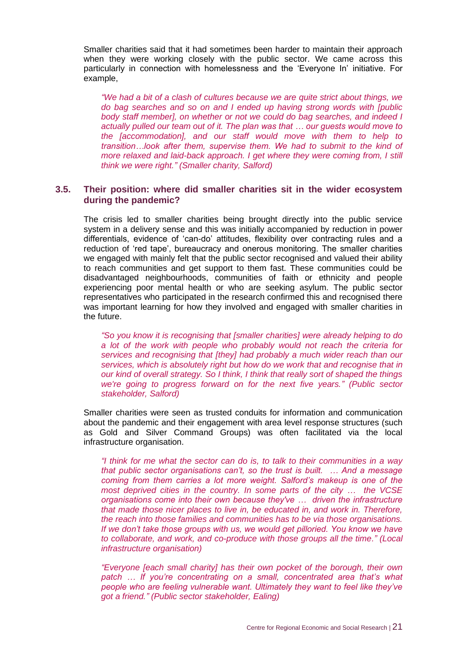Smaller charities said that it had sometimes been harder to maintain their approach when they were working closely with the public sector. We came across this particularly in connection with homelessness and the 'Everyone In' initiative. For example,

*"We had a bit of a clash of cultures because we are quite strict about things, we do bag searches and so on and I ended up having strong words with [public body staff member], on whether or not we could do bag searches, and indeed I actually pulled our team out of it. The plan was that … our guests would move to the [accommodation], and our staff would move with them to help to transition…look after them, supervise them. We had to submit to the kind of more relaxed and laid-back approach. I get where they were coming from, I still think we were right." (Smaller charity, Salford)*

#### **3.5. Their position: where did smaller charities sit in the wider ecosystem during the pandemic?**

The crisis led to smaller charities being brought directly into the public service system in a delivery sense and this was initially accompanied by reduction in power differentials, evidence of 'can-do' attitudes, flexibility over contracting rules and a reduction of 'red tape', bureaucracy and onerous monitoring. The smaller charities we engaged with mainly felt that the public sector recognised and valued their ability to reach communities and get support to them fast. These communities could be disadvantaged neighbourhoods, communities of faith or ethnicity and people experiencing poor mental health or who are seeking asylum. The public sector representatives who participated in the research confirmed this and recognised there was important learning for how they involved and engaged with smaller charities in the future.

*"So you know it is recognising that [smaller charities] were already helping to do a lot of the work with people who probably would not reach the criteria for services and recognising that [they] had probably a much wider reach than our services, which is absolutely right but how do we work that and recognise that in our kind of overall strategy. So I think, I think that really sort of shaped the things we're going to progress forward on for the next five years." (Public sector stakeholder, Salford)*

Smaller charities were seen as trusted conduits for information and communication about the pandemic and their engagement with area level response structures (such as Gold and Silver Command Groups) was often facilitated via the local infrastructure organisation.

*"I think for me what the sector can do is, to talk to their communities in a way that public sector organisations can't, so the trust is built. … And a message coming from them carries a lot more weight. Salford's makeup is one of the most deprived cities in the country. In some parts of the city ... the VCSE organisations come into their own because they've … driven the infrastructure that made those nicer places to live in, be educated in, and work in. Therefore, the reach into those families and communities has to be via those organisations. If we don't take those groups with us, we would get pilloried. You know we have to collaborate, and work, and co-produce with those groups all the time." (Local infrastructure organisation)* 

*"Everyone [each small charity] has their own pocket of the borough, their own*  patch ... If you're concentrating on a small, concentrated area that's what *people who are feeling vulnerable want. Ultimately they want to feel like they've got a friend." (Public sector stakeholder, Ealing)*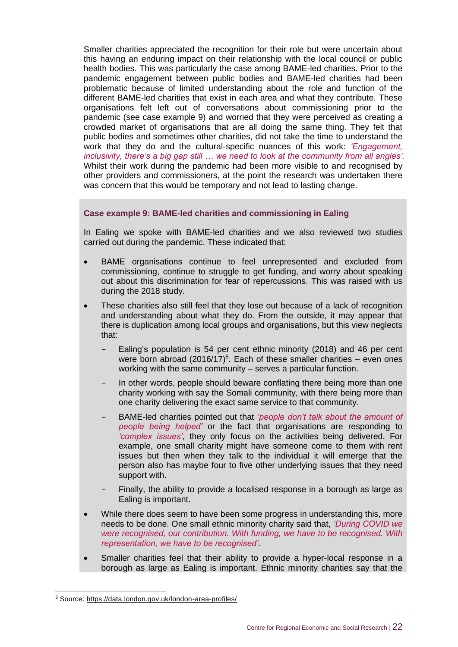Smaller charities appreciated the recognition for their role but were uncertain about this having an enduring impact on their relationship with the local council or public health bodies. This was particularly the case among BAME-led charities. Prior to the pandemic engagement between public bodies and BAME-led charities had been problematic because of limited understanding about the role and function of the different BAME-led charities that exist in each area and what they contribute. These organisations felt left out of conversations about commissioning prior to the pandemic (see case example 9) and worried that they were perceived as creating a crowded market of organisations that are all doing the same thing. They felt that public bodies and sometimes other charities, did not take the time to understand the work that they do and the cultural-specific nuances of this work: *'Engagement, inclusivity, there's a big gap still … we need to look at the community from all angles'.*  Whilst their work during the pandemic had been more visible to and recognised by other providers and commissioners, at the point the research was undertaken there was concern that this would be temporary and not lead to lasting change.

#### **Case example 9: BAME-led charities and commissioning in Ealing**

In Ealing we spoke with BAME-led charities and we also reviewed two studies carried out during the pandemic. These indicated that:

- BAME organisations continue to feel unrepresented and excluded from commissioning, continue to struggle to get funding, and worry about speaking out about this discrimination for fear of repercussions. This was raised with us during the 2018 study.
- These charities also still feel that they lose out because of a lack of recognition and understanding about what they do. From the outside, it may appear that there is duplication among local groups and organisations, but this view neglects that:
	- Ealing's population is 54 per cent ethnic minority (2018) and 46 per cent were born abroad  $(2016/17)^5$ . Each of these smaller charities – even ones working with the same community – serves a particular function.
	- In other words, people should beware conflating there being more than one charity working with say the Somali community, with there being more than one charity delivering the exact same service to that community.
	- BAME-led charities pointed out that *'people don't talk about the amount of people being helped'* or the fact that organisations are responding to *'complex issues'*, they only focus on the activities being delivered. For example, one small charity might have someone come to them with rent issues but then when they talk to the individual it will emerge that the person also has maybe four to five other underlying issues that they need support with.
	- Finally, the ability to provide a localised response in a borough as large as Ealing is important.
- While there does seem to have been some progress in understanding this, more needs to be done. One small ethnic minority charity said that, *'During COVID we were recognised, our contribution. With funding, we have to be recognised. With representation, we have to be recognised'.*
- Smaller charities feel that their ability to provide a hyper-local response in a borough as large as Ealing is important. Ethnic minority charities say that the

<sup>5</sup> Source: [https://data.london.gov.uk/london-area-profiles/](https://www.google.com/url?q=https://data.london.gov.uk/london-area-profiles/&sa=D&ust=1602747960461000&usg=AFQjCNG1Ow2BUsR1Hf11cTwLkgg78Akklw)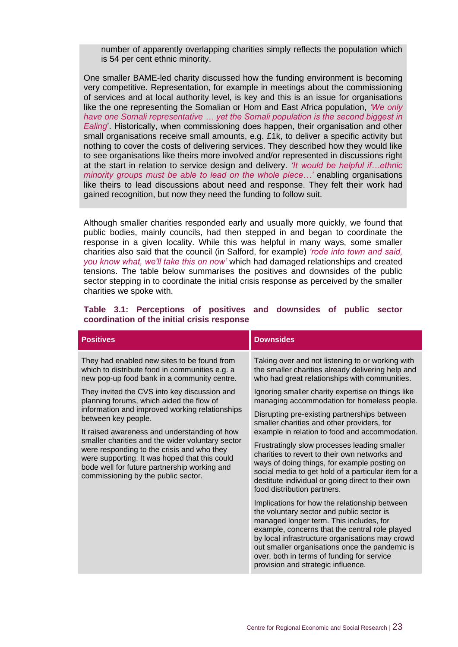number of apparently overlapping charities simply reflects the population which is 54 per cent ethnic minority.

One smaller BAME-led charity discussed how the funding environment is becoming very competitive. Representation, for example in meetings about the commissioning of services and at local authority level, is key and this is an issue for organisations like the one representing the Somalian or Horn and East Africa population, *'We only have one Somali representative … yet the Somali population is the second biggest in Ealing*'. Historically, when commissioning does happen, their organisation and other small organisations receive small amounts, e.g. £1k, to deliver a specific activity but nothing to cover the costs of delivering services. They described how they would like to see organisations like theirs more involved and/or represented in discussions right at the start in relation to service design and delivery. *'It would be helpful if…ethnic minority groups must be able to lead on the whole piece…'* enabling organisations like theirs to lead discussions about need and response. They felt their work had gained recognition, but now they need the funding to follow suit.

Although smaller charities responded early and usually more quickly, we found that public bodies, mainly councils, had then stepped in and began to coordinate the response in a given locality. While this was helpful in many ways, some smaller charities also said that the council (in Salford, for example) *'rode into town and said, you know what, we'll take this on now'* which had damaged relationships and created tensions. The table below summarises the positives and downsides of the public sector stepping in to coordinate the initial crisis response as perceived by the smaller charities we spoke with.

| <b>Positives</b>                                                                                                                                                                                                                                                                       | <b>Downsides</b>                                                                                                                                                                                                                                                                                                                                                                 |  |  |
|----------------------------------------------------------------------------------------------------------------------------------------------------------------------------------------------------------------------------------------------------------------------------------------|----------------------------------------------------------------------------------------------------------------------------------------------------------------------------------------------------------------------------------------------------------------------------------------------------------------------------------------------------------------------------------|--|--|
| They had enabled new sites to be found from<br>which to distribute food in communities e.g. a<br>new pop-up food bank in a community centre.                                                                                                                                           | Taking over and not listening to or working with<br>the smaller charities already delivering help and<br>who had great relationships with communities.                                                                                                                                                                                                                           |  |  |
| They invited the CVS into key discussion and<br>planning forums, which aided the flow of                                                                                                                                                                                               | Ignoring smaller charity expertise on things like<br>managing accommodation for homeless people.                                                                                                                                                                                                                                                                                 |  |  |
| information and improved working relationships<br>between key people.                                                                                                                                                                                                                  | Disrupting pre-existing partnerships between<br>smaller charities and other providers, for                                                                                                                                                                                                                                                                                       |  |  |
| It raised awareness and understanding of how<br>smaller charities and the wider voluntary sector<br>were responding to the crisis and who they<br>were supporting. It was hoped that this could<br>bode well for future partnership working and<br>commissioning by the public sector. | example in relation to food and accommodation.<br>Frustratingly slow processes leading smaller<br>charities to revert to their own networks and<br>ways of doing things, for example posting on<br>social media to get hold of a particular item for a<br>destitute individual or going direct to their own<br>food distribution partners.                                       |  |  |
|                                                                                                                                                                                                                                                                                        | Implications for how the relationship between<br>the voluntary sector and public sector is<br>managed longer term. This includes, for<br>example, concerns that the central role played<br>by local infrastructure organisations may crowd<br>out smaller organisations once the pandemic is<br>over, both in terms of funding for service<br>provision and strategic influence. |  |  |
|                                                                                                                                                                                                                                                                                        |                                                                                                                                                                                                                                                                                                                                                                                  |  |  |

#### **Table 3.1: Perceptions of positives and downsides of public sector coordination of the initial crisis response**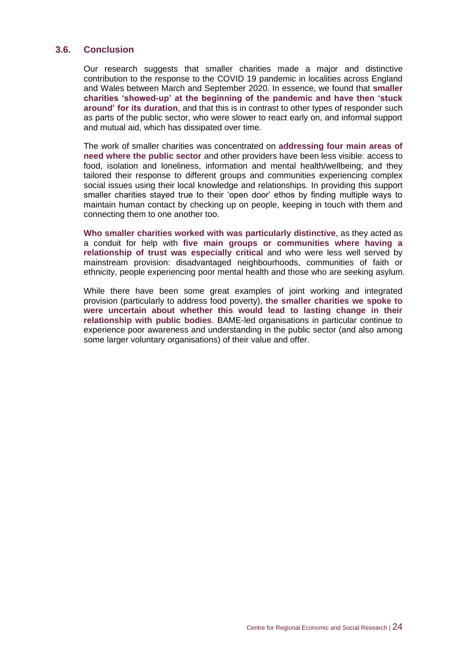#### **3.6. Conclusion**

Our research suggests that smaller charities made a major and distinctive contribution to the response to the COVID 19 pandemic in localities across England and Wales between March and September 2020. In essence, we found that **smaller charities 'showed-up' at the beginning of the pandemic and have then 'stuck around' for its duration**, and that this is in contrast to other types of responder such as parts of the public sector, who were slower to react early on, and informal support and mutual aid, which has dissipated over time.

The work of smaller charities was concentrated on **addressing four main areas of need where the public sector** and other providers have been less visible: access to food, isolation and loneliness, information and mental health/wellbeing; and they tailored their response to different groups and communities experiencing complex social issues using their local knowledge and relationships. In providing this support smaller charities stayed true to their 'open door' ethos by finding multiple ways to maintain human contact by checking up on people, keeping in touch with them and connecting them to one another too.

**Who smaller charities worked with was particularly distinctive**, as they acted as a conduit for help with **five main groups or communities where having a relationship of trust was especially critical** and who were less well served by mainstream provision: disadvantaged neighbourhoods, communities of faith or ethnicity, people experiencing poor mental health and those who are seeking asylum.

While there have been some great examples of joint working and integrated provision (particularly to address food poverty), **the smaller charities we spoke to were uncertain about whether this would lead to lasting change in their relationship with public bodies**. BAME-led organisations in particular continue to experience poor awareness and understanding in the public sector (and also among some larger voluntary organisations) of their value and offer.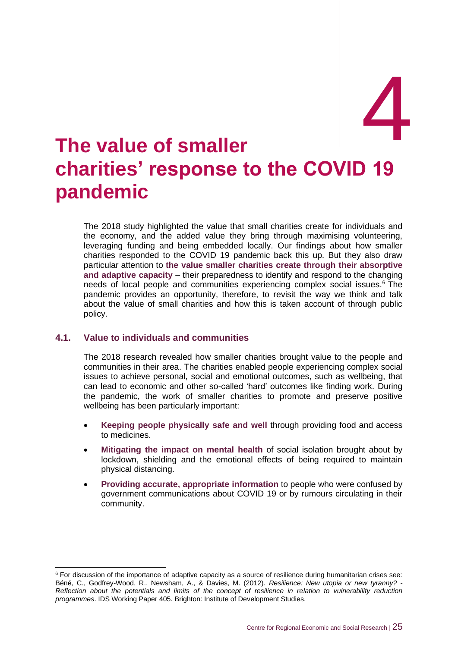# 4

## <span id="page-30-0"></span>4. **The value of smaller charities' response to the COVID 19 pandemic**

The 2018 study highlighted the value that small charities create for individuals and the economy, and the added value they bring through maximising volunteering, leveraging funding and being embedded locally. Our findings about how smaller charities responded to the COVID 19 pandemic back this up. But they also draw particular attention to **the value smaller charities create through their absorptive and adaptive capacity** – their preparedness to identify and respond to the changing needs of local people and communities experiencing complex social issues.<sup>6</sup> The pandemic provides an opportunity, therefore, to revisit the way we think and talk about the value of small charities and how this is taken account of through public policy.

#### **4.1. Value to individuals and communities**

The 2018 research revealed how smaller charities brought value to the people and communities in their area. The charities enabled people experiencing complex social issues to achieve personal, social and emotional outcomes, such as wellbeing, that can lead to economic and other so-called 'hard' outcomes like finding work. During the pandemic, the work of smaller charities to promote and preserve positive wellbeing has been particularly important:

- **Keeping people physically safe and well** through providing food and access to medicines.
- **Mitigating the impact on mental health** of social isolation brought about by lockdown, shielding and the emotional effects of being required to maintain physical distancing.
- **Providing accurate, appropriate information** to people who were confused by government communications about COVID 19 or by rumours circulating in their community.

<sup>&</sup>lt;sup>6</sup> For discussion of the importance of adaptive capacity as a source of resilience during humanitarian crises see: Béné, C., Godfrey-Wood, R., Newsham, A., & Davies, M. (2012). *Resilience: New utopia or new tyranny? - Reflection about the potentials and limits of the concept of resilience in relation to vulnerability reduction programmes*. IDS Working Paper 405. Brighton: Institute of Development Studies.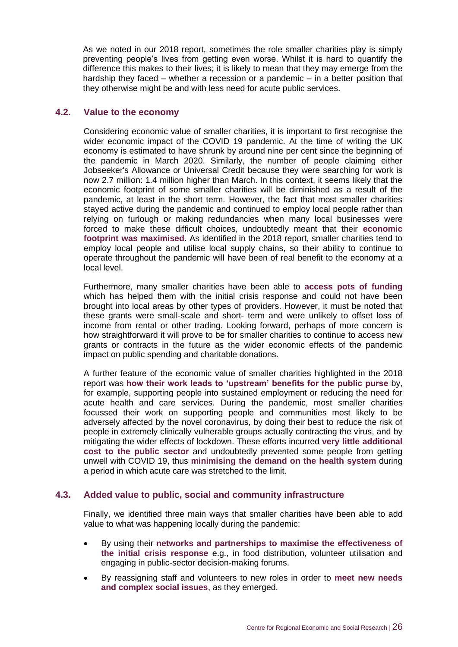As we noted in our 2018 report, sometimes the role smaller charities play is simply preventing people's lives from getting even worse. Whilst it is hard to quantify the difference this makes to their lives; it is likely to mean that they may emerge from the hardship they faced – whether a recession or a pandemic – in a better position that they otherwise might be and with less need for acute public services.

#### **4.2. Value to the economy**

Considering economic value of smaller charities, it is important to first recognise the wider economic impact of the COVID 19 pandemic. At the time of writing the UK economy is estimated to have shrunk by around nine per cent since the beginning of the pandemic in March 2020. Similarly, the number of people claiming either Jobseeker's Allowance or Universal Credit because they were searching for work is now 2.7 million: 1.4 million higher than March. In this context, it seems likely that the economic footprint of some smaller charities will be diminished as a result of the pandemic, at least in the short term. However, the fact that most smaller charities stayed active during the pandemic and continued to employ local people rather than relying on furlough or making redundancies when many local businesses were forced to make these difficult choices, undoubtedly meant that their **economic footprint was maximised**. As identified in the 2018 report, smaller charities tend to employ local people and utilise local supply chains, so their ability to continue to operate throughout the pandemic will have been of real benefit to the economy at a local level.

Furthermore, many smaller charities have been able to **access pots of funding** which has helped them with the initial crisis response and could not have been brought into local areas by other types of providers. However, it must be noted that these grants were small-scale and short- term and were unlikely to offset loss of income from rental or other trading. Looking forward, perhaps of more concern is how straightforward it will prove to be for smaller charities to continue to access new grants or contracts in the future as the wider economic effects of the pandemic impact on public spending and charitable donations.

A further feature of the economic value of smaller charities highlighted in the 2018 report was **how their work leads to 'upstream' benefits for the public purse** by, for example, supporting people into sustained employment or reducing the need for acute health and care services. During the pandemic, most smaller charities focussed their work on supporting people and communities most likely to be adversely affected by the novel coronavirus, by doing their best to reduce the risk of people in extremely clinically vulnerable groups actually contracting the virus, and by mitigating the wider effects of lockdown. These efforts incurred **very little additional cost to the public sector** and undoubtedly prevented some people from getting unwell with COVID 19, thus **minimising the demand on the health system** during a period in which acute care was stretched to the limit.

#### **4.3. Added value to public, social and community infrastructure**

Finally, we identified three main ways that smaller charities have been able to add value to what was happening locally during the pandemic:

- By using their **networks and partnerships to maximise the effectiveness of the initial crisis response** e.g., in food distribution, volunteer utilisation and engaging in public-sector decision-making forums.
- By reassigning staff and volunteers to new roles in order to **meet new needs and complex social issues**, as they emerged.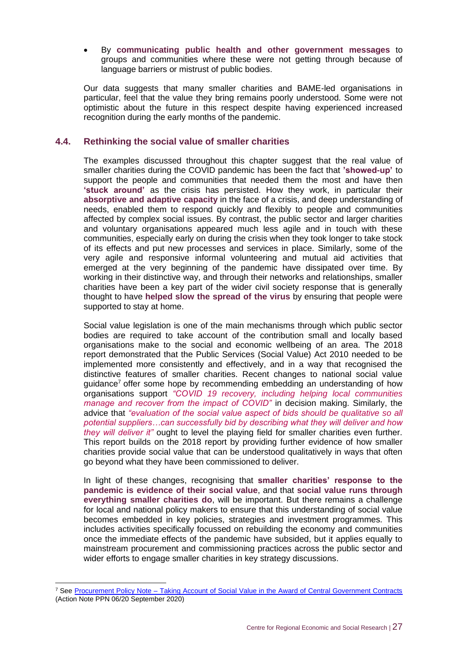• By **communicating public health and other government messages** to groups and communities where these were not getting through because of language barriers or mistrust of public bodies.

Our data suggests that many smaller charities and BAME-led organisations in particular, feel that the value they bring remains poorly understood. Some were not optimistic about the future in this respect despite having experienced increased recognition during the early months of the pandemic.

#### **4.4. Rethinking the social value of smaller charities**

The examples discussed throughout this chapter suggest that the real value of smaller charities during the COVID pandemic has been the fact that **'showed-up'** to support the people and communities that needed them the most and have then **'stuck around'** as the crisis has persisted. How they work, in particular their **absorptive and adaptive capacity** in the face of a crisis, and deep understanding of needs, enabled them to respond quickly and flexibly to people and communities affected by complex social issues. By contrast, the public sector and larger charities and voluntary organisations appeared much less agile and in touch with these communities, especially early on during the crisis when they took longer to take stock of its effects and put new processes and services in place. Similarly, some of the very agile and responsive informal volunteering and mutual aid activities that emerged at the very beginning of the pandemic have dissipated over time. By working in their distinctive way, and through their networks and relationships, smaller charities have been a key part of the wider civil society response that is generally thought to have **helped slow the spread of the virus** by ensuring that people were supported to stay at home.

Social value legislation is one of the main mechanisms through which public sector bodies are required to take account of the contribution small and locally based organisations make to the social and economic wellbeing of an area. The 2018 report demonstrated that the Public Services (Social Value) Act 2010 needed to be implemented more consistently and effectively, and in a way that recognised the distinctive features of smaller charities. Recent changes to national social value guidance<sup>7</sup> offer some hope by recommending embedding an understanding of how organisations support *"COVID 19 recovery, including helping local communities manage and recover from the impact of COVID"* in decision making. Similarly, the advice that *"evaluation of the social value aspect of bids should be qualitative so all potential suppliers…can successfully bid by describing what they will deliver and how they will deliver it"* ought to level the playing field for smaller charities even further. This report builds on the 2018 report by providing further evidence of how smaller charities provide social value that can be understood qualitatively in ways that often go beyond what they have been commissioned to deliver.

In light of these changes, recognising that **smaller charities' response to the pandemic is evidence of their social value**, and that **social value runs through everything smaller charities do**, will be important. But there remains a challenge for local and national policy makers to ensure that this understanding of social value becomes embedded in key policies, strategies and investment programmes. This includes activities specifically focussed on rebuilding the economy and communities once the immediate effects of the pandemic have subsided, but it applies equally to mainstream procurement and commissioning practices across the public sector and wider efforts to engage smaller charities in key strategy discussions.

<sup>7</sup> See Procurement Policy Note – [Taking Account of Social Value in the Award of Central Government Contracts](https://assets.publishing.service.gov.uk/government/uploads/system/uploads/attachment_data/file/921437/PPN-06_20-Taking-Account-of-Social-Value-in-the-Award-of-Central-Government-Contracts.pdf) (Action Note PPN 06/20 September 2020)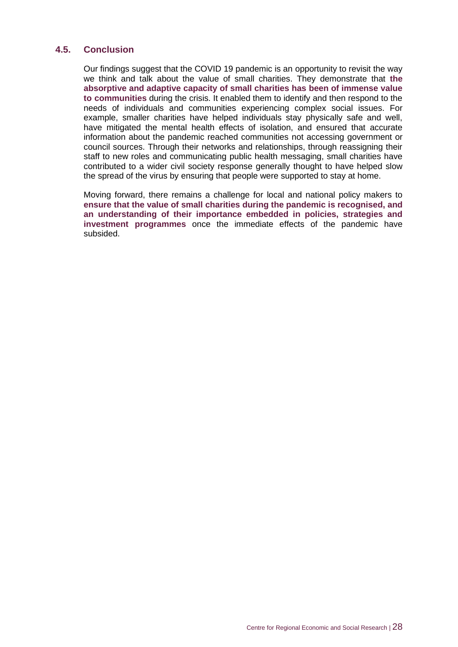#### **4.5. Conclusion**

Our findings suggest that the COVID 19 pandemic is an opportunity to revisit the way we think and talk about the value of small charities. They demonstrate that **the absorptive and adaptive capacity of small charities has been of immense value to communities** during the crisis. It enabled them to identify and then respond to the needs of individuals and communities experiencing complex social issues. For example, smaller charities have helped individuals stay physically safe and well, have mitigated the mental health effects of isolation, and ensured that accurate information about the pandemic reached communities not accessing government or council sources. Through their networks and relationships, through reassigning their staff to new roles and communicating public health messaging, small charities have contributed to a wider civil society response generally thought to have helped slow the spread of the virus by ensuring that people were supported to stay at home.

Moving forward, there remains a challenge for local and national policy makers to **ensure that the value of small charities during the pandemic is recognised, and an understanding of their importance embedded in policies, strategies and investment programmes** once the immediate effects of the pandemic have subsided.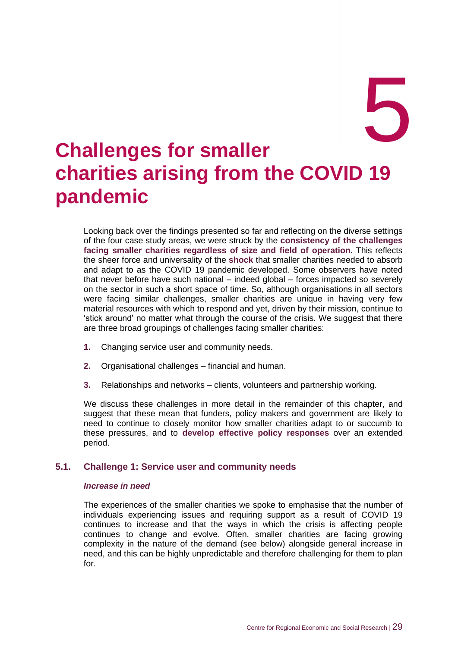# <span id="page-34-0"></span>**Challenges for smaller charities arising from the COVID 19 pandemic**

Looking back over the findings presented so far and reflecting on the diverse settings of the four case study areas, we were struck by the **consistency of the challenges facing smaller charities regardless of size and field of operation**. This reflects the sheer force and universality of the **shock** that smaller charities needed to absorb and adapt to as the COVID 19 pandemic developed. Some observers have noted that never before have such national – indeed global – forces impacted so severely on the sector in such a short space of time. So, although organisations in all sectors were facing similar challenges, smaller charities are unique in having very few material resources with which to respond and yet, driven by their mission, continue to 'stick around' no matter what through the course of the crisis. We suggest that there are three broad groupings of challenges facing smaller charities:

- **1.** Changing service user and community needs.
- **2.** Organisational challenges financial and human.
- **3.** Relationships and networks clients, volunteers and partnership working.

We discuss these challenges in more detail in the remainder of this chapter, and suggest that these mean that funders, policy makers and government are likely to need to continue to closely monitor how smaller charities adapt to or succumb to these pressures, and to **develop effective policy responses** over an extended period.

#### **5.1. Challenge 1: Service user and community needs**

#### *Increase in need*

The experiences of the smaller charities we spoke to emphasise that the number of individuals experiencing issues and requiring support as a result of COVID 19 continues to increase and that the ways in which the crisis is affecting people continues to change and evolve. Often, smaller charities are facing growing complexity in the nature of the demand (see below) alongside general increase in need, and this can be highly unpredictable and therefore challenging for them to plan for.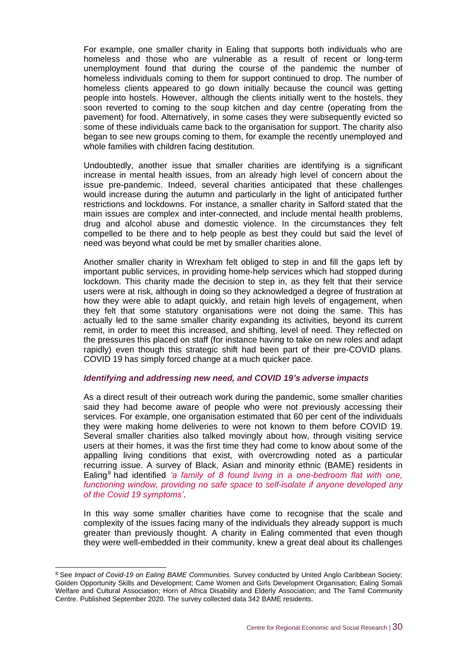For example, one smaller charity in Ealing that supports both individuals who are homeless and those who are vulnerable as a result of recent or long-term unemployment found that during the course of the pandemic the number of homeless individuals coming to them for support continued to drop. The number of homeless clients appeared to go down initially because the council was getting people into hostels. However, although the clients initially went to the hostels, they soon reverted to coming to the soup kitchen and day centre (operating from the pavement) for food. Alternatively, in some cases they were subsequently evicted so some of these individuals came back to the organisation for support. The charity also began to see new groups coming to them, for example the recently unemployed and whole families with children facing destitution.

Undoubtedly, another issue that smaller charities are identifying is a significant increase in mental health issues, from an already high level of concern about the issue pre-pandemic. Indeed, several charities anticipated that these challenges would increase during the autumn and particularly in the light of anticipated further restrictions and lockdowns. For instance, a smaller charity in Salford stated that the main issues are complex and inter-connected, and include mental health problems, drug and alcohol abuse and domestic violence. In the circumstances they felt compelled to be there and to help people as best they could but said the level of need was beyond what could be met by smaller charities alone.

Another smaller charity in Wrexham felt obliged to step in and fill the gaps left by important public services, in providing home-help services which had stopped during lockdown. This charity made the decision to step in, as they felt that their service users were at risk, although in doing so they acknowledged a degree of frustration at how they were able to adapt quickly, and retain high levels of engagement, when they felt that some statutory organisations were not doing the same. This has actually led to the same smaller charity expanding its activities, beyond its current remit, in order to meet this increased, and shifting, level of need. They reflected on the pressures this placed on staff (for instance having to take on new roles and adapt rapidly) even though this strategic shift had been part of their pre-COVID plans. COVID 19 has simply forced change at a much quicker pace.

#### *Identifying and addressing new need, and COVID 19's adverse impacts*

As a direct result of their outreach work during the pandemic, some smaller charities said they had become aware of people who were not previously accessing their services. For example, one organisation estimated that 60 per cent of the individuals they were making home deliveries to were not known to them before COVID 19. Several smaller charities also talked movingly about how, through visiting service users at their homes, it was the first time they had come to know about some of the appalling living conditions that exist, with overcrowding noted as a particular recurring issue. A survey of Black, Asian and minority ethnic (BAME) residents in Ealing<sup>8</sup> had identified *'a family of 8 found living in a one-bedroom flat with one, functioning window, providing no safe space to self-isolate if anyone developed any of the Covid 19 symptoms'*.

In this way some smaller charities have come to recognise that the scale and complexity of the issues facing many of the individuals they already support is much greater than previously thought. A charity in Ealing commented that even though they were well-embedded in their community, knew a great deal about its challenges

<sup>&</sup>lt;sup>8</sup> See *Impact of Covid-19 on Ealing BAME Communities*. Survey conducted by United Anglo Caribbean Society; Golden Opportunity Skills and Development; Came Women and Girls Development Organisation; Ealing Somali Welfare and Cultural Association; Horn of Africa Disability and Elderly Association; and The Tamil Community Centre. Published September 2020. The survey collected data 342 BAME residents.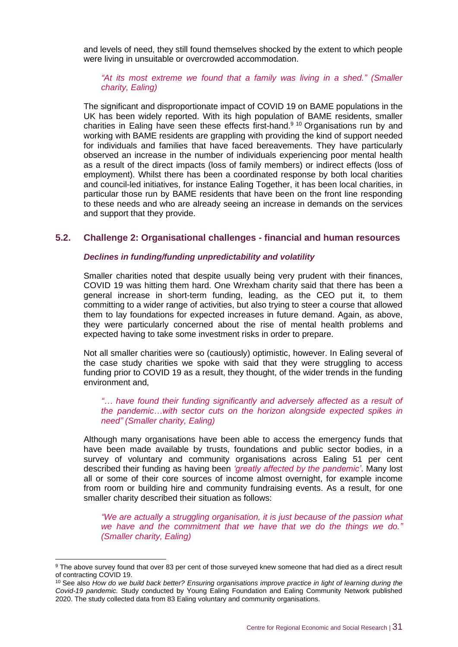and levels of need, they still found themselves shocked by the extent to which people were living in unsuitable or overcrowded accommodation.

*"At its most extreme we found that a family was living in a shed." (Smaller charity, Ealing)*

The significant and disproportionate impact of COVID 19 on BAME populations in the UK has been widely reported. With its high population of BAME residents, smaller charities in Ealing have seen these effects first-hand.<sup>9 10</sup> Organisations run by and working with BAME residents are grappling with providing the kind of support needed for individuals and families that have faced bereavements. They have particularly observed an increase in the number of individuals experiencing poor mental health as a result of the direct impacts (loss of family members) or indirect effects (loss of employment). Whilst there has been a coordinated response by both local charities and council-led initiatives, for instance Ealing Together, it has been local charities, in particular those run by BAME residents that have been on the front line responding to these needs and who are already seeing an increase in demands on the services and support that they provide.

#### **5.2. Challenge 2: Organisational challenges - financial and human resources**

#### *Declines in funding/funding unpredictability and volatility*

Smaller charities noted that despite usually being very prudent with their finances, COVID 19 was hitting them hard. One Wrexham charity said that there has been a general increase in short-term funding, leading, as the CEO put it, to them committing to a wider range of activities, but also trying to steer a course that allowed them to lay foundations for expected increases in future demand. Again, as above, they were particularly concerned about the rise of mental health problems and expected having to take some investment risks in order to prepare.

Not all smaller charities were so (cautiously) optimistic, however. In Ealing several of the case study charities we spoke with said that they were struggling to access funding prior to COVID 19 as a result, they thought, of the wider trends in the funding environment and,

*"… have found their funding significantly and adversely affected as a result of the pandemic…with sector cuts on the horizon alongside expected spikes in need" (Smaller charity, Ealing)*

Although many organisations have been able to access the emergency funds that have been made available by trusts, foundations and public sector bodies, in a survey of voluntary and community organisations across Ealing 51 per cent described their funding as having been *'greatly affected by the pandemic'*. Many lost all or some of their core sources of income almost overnight, for example income from room or building hire and community fundraising events. As a result, for one smaller charity described their situation as follows:

*"We are actually a struggling organisation, it is just because of the passion what we have and the commitment that we have that we do the things we do." (Smaller charity, Ealing)*

<sup>9</sup> The above survey found that over 83 per cent of those surveyed knew someone that had died as a direct result of contracting COVID 19.

<sup>10</sup> See also *How do we build back better? Ensuring organisations improve practice in light of learning during the Covid-19 pandemic.* Study conducted by Young Ealing Foundation and Ealing Community Network published 2020. The study collected data from 83 Ealing voluntary and community organisations.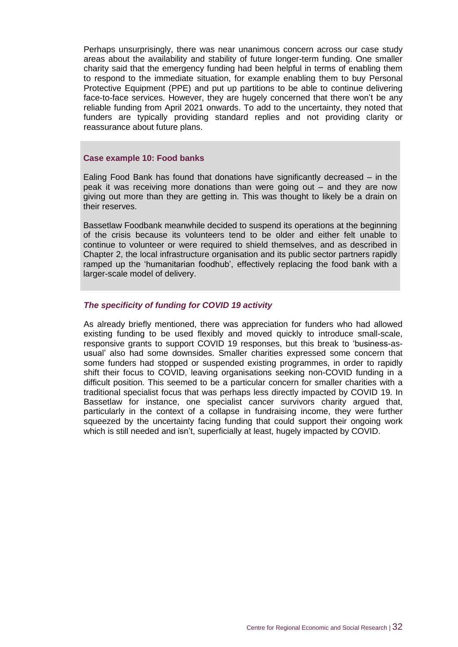Perhaps unsurprisingly, there was near unanimous concern across our case study areas about the availability and stability of future longer-term funding. One smaller charity said that the emergency funding had been helpful in terms of enabling them to respond to the immediate situation, for example enabling them to buy Personal Protective Equipment (PPE) and put up partitions to be able to continue delivering face-to-face services. However, they are hugely concerned that there won't be any reliable funding from April 2021 onwards. To add to the uncertainty, they noted that funders are typically providing standard replies and not providing clarity or reassurance about future plans.

#### **Case example 10: Food banks**

Ealing Food Bank has found that donations have significantly decreased – in the peak it was receiving more donations than were going out – and they are now giving out more than they are getting in. This was thought to likely be a drain on their reserves.

Bassetlaw Foodbank meanwhile decided to suspend its operations at the beginning of the crisis because its volunteers tend to be older and either felt unable to continue to volunteer or were required to shield themselves, and as described in Chapter 2, the local infrastructure organisation and its public sector partners rapidly ramped up the 'humanitarian foodhub', effectively replacing the food bank with a larger-scale model of delivery.

#### *The specificity of funding for COVID 19 activity*

As already briefly mentioned, there was appreciation for funders who had allowed existing funding to be used flexibly and moved quickly to introduce small-scale, responsive grants to support COVID 19 responses, but this break to 'business-asusual' also had some downsides. Smaller charities expressed some concern that some funders had stopped or suspended existing programmes, in order to rapidly shift their focus to COVID, leaving organisations seeking non-COVID funding in a difficult position. This seemed to be a particular concern for smaller charities with a traditional specialist focus that was perhaps less directly impacted by COVID 19. In Bassetlaw for instance, one specialist cancer survivors charity argued that, particularly in the context of a collapse in fundraising income, they were further squeezed by the uncertainty facing funding that could support their ongoing work which is still needed and isn't, superficially at least, hugely impacted by COVID.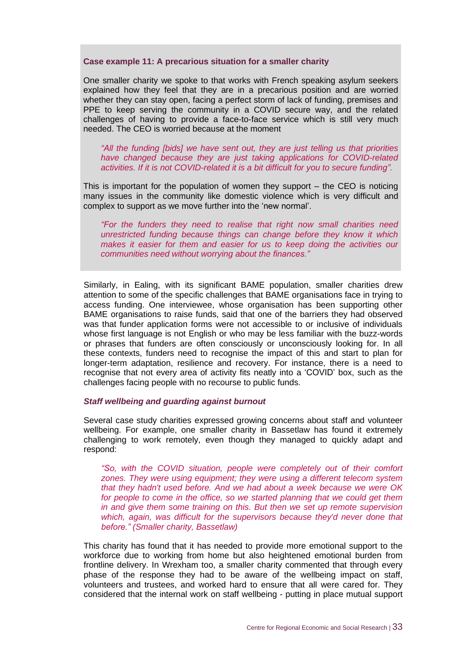#### **Case example 11: A precarious situation for a smaller charity**

One smaller charity we spoke to that works with French speaking asylum seekers explained how they feel that they are in a precarious position and are worried whether they can stay open, facing a perfect storm of lack of funding, premises and PPE to keep serving the community in a COVID secure way, and the related challenges of having to provide a face-to-face service which is still very much needed. The CEO is worried because at the moment

*"All the funding [bids] we have sent out, they are just telling us that priorities have changed because they are just taking applications for COVID-related activities. If it is not COVID-related it is a bit difficult for you to secure funding".*

This is important for the population of women they support  $-$  the CEO is noticing many issues in the community like domestic violence which is very difficult and complex to support as we move further into the 'new normal'.

*"For the funders they need to realise that right now small charities need unrestricted funding because things can change before they know it which makes it easier for them and easier for us to keep doing the activities our communities need without worrying about the finances."*

Similarly, in Ealing, with its significant BAME population, smaller charities drew attention to some of the specific challenges that BAME organisations face in trying to access funding. One interviewee, whose organisation has been supporting other BAME organisations to raise funds, said that one of the barriers they had observed was that funder application forms were not accessible to or inclusive of individuals whose first language is not English or who may be less familiar with the buzz-words or phrases that funders are often consciously or unconsciously looking for. In all these contexts, funders need to recognise the impact of this and start to plan for longer-term adaptation, resilience and recovery. For instance, there is a need to recognise that not every area of activity fits neatly into a 'COVID' box, such as the challenges facing people with no recourse to public funds.

#### *Staff wellbeing and guarding against burnout*

Several case study charities expressed growing concerns about staff and volunteer wellbeing. For example, one smaller charity in Bassetlaw has found it extremely challenging to work remotely, even though they managed to quickly adapt and respond:

*"So, with the COVID situation, people were completely out of their comfort zones. They were using equipment; they were using a different telecom system that they hadn't used before. And we had about a week because we were OK for people to come in the office, so we started planning that we could get them in and give them some training on this. But then we set up remote supervision which, again, was difficult for the supervisors because they'd never done that before." (Smaller charity, Bassetlaw)*

This charity has found that it has needed to provide more emotional support to the workforce due to working from home but also heightened emotional burden from frontline delivery. In Wrexham too, a smaller charity commented that through every phase of the response they had to be aware of the wellbeing impact on staff, volunteers and trustees, and worked hard to ensure that all were cared for. They considered that the internal work on staff wellbeing - putting in place mutual support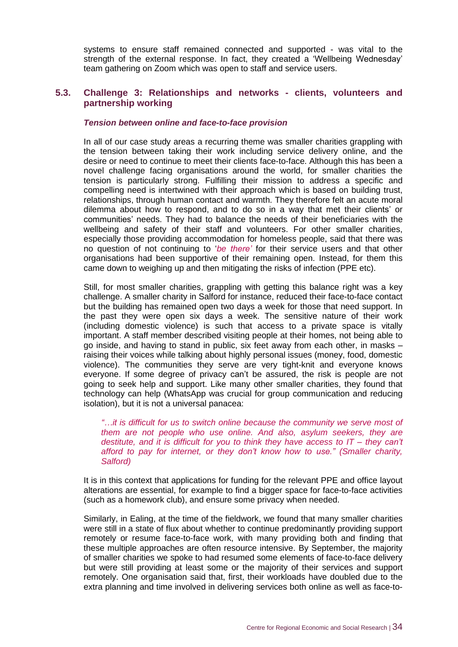systems to ensure staff remained connected and supported - was vital to the strength of the external response. In fact, they created a 'Wellbeing Wednesday' team gathering on Zoom which was open to staff and service users.

#### **5.3. Challenge 3: Relationships and networks - clients, volunteers and partnership working**

#### *Tension between online and face-to-face provision*

In all of our case study areas a recurring theme was smaller charities grappling with the tension between taking their work including service delivery online, and the desire or need to continue to meet their clients face-to-face. Although this has been a novel challenge facing organisations around the world, for smaller charities the tension is particularly strong. Fulfilling their mission to address a specific and compelling need is intertwined with their approach which is based on building trust, relationships, through human contact and warmth. They therefore felt an acute moral dilemma about how to respond, and to do so in a way that met their clients' or communities' needs. They had to balance the needs of their beneficiaries with the wellbeing and safety of their staff and volunteers. For other smaller charities, especially those providing accommodation for homeless people, said that there was no question of not continuing to '*be there'* for their service users and that other organisations had been supportive of their remaining open. Instead, for them this came down to weighing up and then mitigating the risks of infection (PPE etc).

Still, for most smaller charities, grappling with getting this balance right was a key challenge. A smaller charity in Salford for instance, reduced their face-to-face contact but the building has remained open two days a week for those that need support. In the past they were open six days a week. The sensitive nature of their work (including domestic violence) is such that access to a private space is vitally important. A staff member described visiting people at their homes, not being able to go inside, and having to stand in public, six feet away from each other, in masks – raising their voices while talking about highly personal issues (money, food, domestic violence). The communities they serve are very tight-knit and everyone knows everyone. If some degree of privacy can't be assured, the risk is people are not going to seek help and support. Like many other smaller charities, they found that technology can help (WhatsApp was crucial for group communication and reducing isolation), but it is not a universal panacea:

*"…it is difficult for us to switch online because the community we serve most of them are not people who use online. And also, asylum seekers, they are destitute, and it is difficult for you to think they have access to IT – they can't afford to pay for internet, or they don't know how to use." (Smaller charity, Salford)*

It is in this context that applications for funding for the relevant PPE and office layout alterations are essential, for example to find a bigger space for face-to-face activities (such as a homework club), and ensure some privacy when needed.

Similarly, in Ealing, at the time of the fieldwork, we found that many smaller charities were still in a state of flux about whether to continue predominantly providing support remotely or resume face-to-face work, with many providing both and finding that these multiple approaches are often resource intensive. By September, the majority of smaller charities we spoke to had resumed some elements of face-to-face delivery but were still providing at least some or the majority of their services and support remotely. One organisation said that, first, their workloads have doubled due to the extra planning and time involved in delivering services both online as well as face-to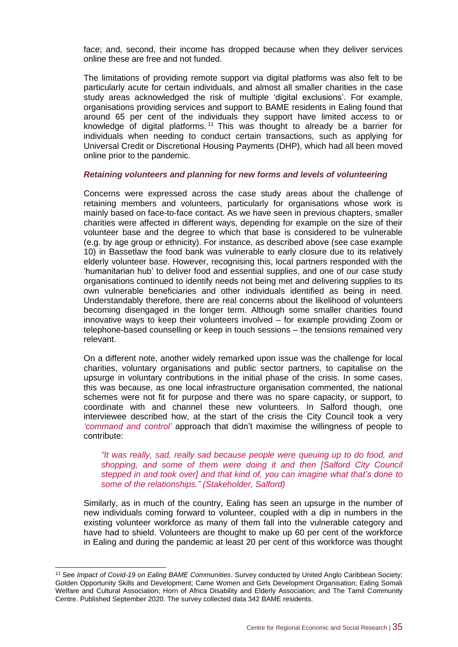face; and, second, their income has dropped because when they deliver services online these are free and not funded.

The limitations of providing remote support via digital platforms was also felt to be particularly acute for certain individuals, and almost all smaller charities in the case study areas acknowledged the risk of multiple 'digital exclusions'. For example, organisations providing services and support to BAME residents in Ealing found that around 65 per cent of the individuals they support have limited access to or knowledge of digital platforms. <sup>11</sup> This was thought to already be a barrier for individuals when needing to conduct certain transactions, such as applying for Universal Credit or Discretional Housing Payments (DHP), which had all been moved online prior to the pandemic.

#### *Retaining volunteers and planning for new forms and levels of volunteering*

Concerns were expressed across the case study areas about the challenge of retaining members and volunteers, particularly for organisations whose work is mainly based on face-to-face contact. As we have seen in previous chapters, smaller charities were affected in different ways, depending for example on the size of their volunteer base and the degree to which that base is considered to be vulnerable (e.g. by age group or ethnicity). For instance, as described above (see case example 10) in Bassetlaw the food bank was vulnerable to early closure due to its relatively elderly volunteer base. However, recognising this, local partners responded with the 'humanitarian hub' to deliver food and essential supplies, and one of our case study organisations continued to identify needs not being met and delivering supplies to its own vulnerable beneficiaries and other individuals identified as being in need. Understandably therefore, there are real concerns about the likelihood of volunteers becoming disengaged in the longer term. Although some smaller charities found innovative ways to keep their volunteers involved – for example providing Zoom or telephone-based counselling or keep in touch sessions – the tensions remained very relevant.

On a different note, another widely remarked upon issue was the challenge for local charities, voluntary organisations and public sector partners, to capitalise on the upsurge in voluntary contributions in the initial phase of the crisis. In some cases, this was because, as one local infrastructure organisation commented, the national schemes were not fit for purpose and there was no spare capacity, or support, to coordinate with and channel these new volunteers. In Salford though, one interviewee described how, at the start of the crisis the City Council took a very *'command and control'* approach that didn't maximise the willingness of people to contribute:

*"It was really, sad, really sad because people were queuing up to do food, and shopping, and some of them were doing it and then [Salford City Council stepped in and took over] and that kind of, you can imagine what that's done to some of the relationships." (Stakeholder, Salford)*

Similarly, as in much of the country, Ealing has seen an upsurge in the number of new individuals coming forward to volunteer, coupled with a dip in numbers in the existing volunteer workforce as many of them fall into the vulnerable category and have had to shield. Volunteers are thought to make up 60 per cent of the workforce in Ealing and during the pandemic at least 20 per cent of this workforce was thought

<sup>11</sup> See *Impact of Covid-19 on Ealing BAME Communities*. Survey conducted by United Anglo Caribbean Society; Golden Opportunity Skills and Development; Came Women and Girls Development Organisation; Ealing Somali Welfare and Cultural Association; Horn of Africa Disability and Elderly Association; and The Tamil Community Centre. Published September 2020. The survey collected data 342 BAME residents.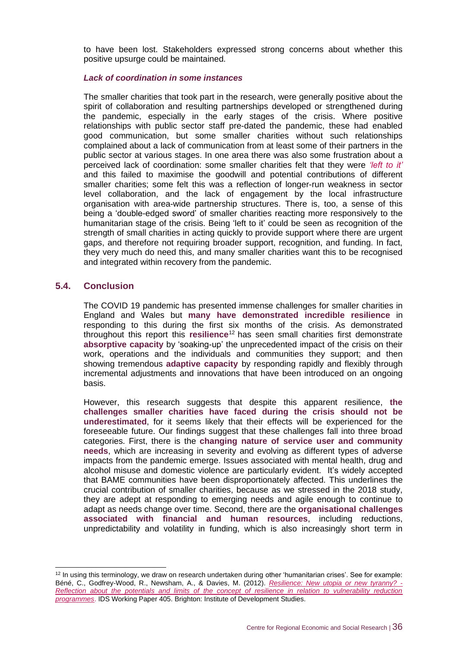to have been lost. Stakeholders expressed strong concerns about whether this positive upsurge could be maintained.

#### *Lack of coordination in some instances*

The smaller charities that took part in the research, were generally positive about the spirit of collaboration and resulting partnerships developed or strengthened during the pandemic, especially in the early stages of the crisis. Where positive relationships with public sector staff pre-dated the pandemic, these had enabled good communication, but some smaller charities without such relationships complained about a lack of communication from at least some of their partners in the public sector at various stages. In one area there was also some frustration about a perceived lack of coordination: some smaller charities felt that they were *'left to it'* and this failed to maximise the goodwill and potential contributions of different smaller charities; some felt this was a reflection of longer-run weakness in sector level collaboration, and the lack of engagement by the local infrastructure organisation with area-wide partnership structures. There is, too, a sense of this being a 'double-edged sword' of smaller charities reacting more responsively to the humanitarian stage of the crisis. Being 'left to it' could be seen as recognition of the strength of small charities in acting quickly to provide support where there are urgent gaps, and therefore not requiring broader support, recognition, and funding. In fact, they very much do need this, and many smaller charities want this to be recognised and integrated within recovery from the pandemic.

#### **5.4. Conclusion**

The COVID 19 pandemic has presented immense challenges for smaller charities in England and Wales but **many have demonstrated incredible resilience** in responding to this during the first six months of the crisis. As demonstrated throughout this report this **resilience**<sup>12</sup> has seen small charities first demonstrate **absorptive capacity** by 'soaking-up' the unprecedented impact of the crisis on their work, operations and the individuals and communities they support; and then showing tremendous **adaptive capacity** by responding rapidly and flexibly through incremental adjustments and innovations that have been introduced on an ongoing basis.

However, this research suggests that despite this apparent resilience, **the challenges smaller charities have faced during the crisis should not be underestimated**, for it seems likely that their effects will be experienced for the foreseeable future. Our findings suggest that these challenges fall into three broad categories. First, there is the **changing nature of service user and community needs**, which are increasing in severity and evolving as different types of adverse impacts from the pandemic emerge. Issues associated with mental health, drug and alcohol misuse and domestic violence are particularly evident. It's widely accepted that BAME communities have been disproportionately affected. This underlines the crucial contribution of smaller charities, because as we stressed in the 2018 study, they are adept at responding to emerging needs and agile enough to continue to adapt as needs change over time. Second, there are the **organisational challenges associated with financial and human resources**, including reductions, unpredictability and volatility in funding, which is also increasingly short term in

 $12$  In using this terminology, we draw on research undertaken during other 'humanitarian crises'. See for example: Béné, C., Godfrey-Wood, R., Newsham, A., & Davies, M. (2012). *[Resilience: New utopia or new tyranny? -](https://opendocs.ids.ac.uk/opendocs/handle/20.500.12413/2291) [Reflection about the potentials and limits of the concept of resilience in relation to vulnerability reduction](https://opendocs.ids.ac.uk/opendocs/handle/20.500.12413/2291)  [programmes](https://opendocs.ids.ac.uk/opendocs/handle/20.500.12413/2291)*. IDS Working Paper 405. Brighton: Institute of Development Studies.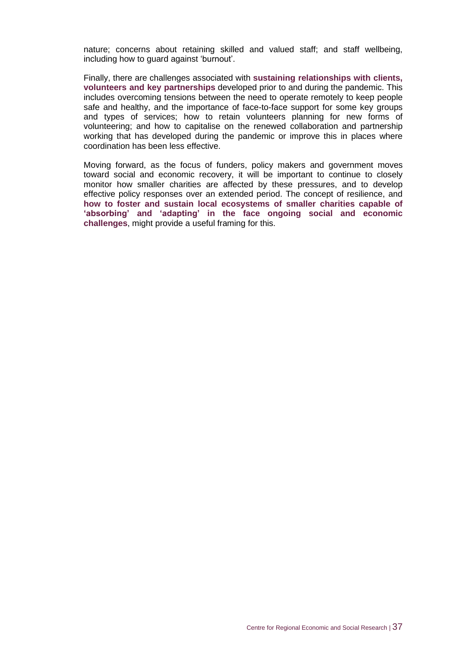nature; concerns about retaining skilled and valued staff; and staff wellbeing, including how to guard against 'burnout'.

Finally, there are challenges associated with **sustaining relationships with clients, volunteers and key partnerships** developed prior to and during the pandemic. This includes overcoming tensions between the need to operate remotely to keep people safe and healthy, and the importance of face-to-face support for some key groups and types of services; how to retain volunteers planning for new forms of volunteering; and how to capitalise on the renewed collaboration and partnership working that has developed during the pandemic or improve this in places where coordination has been less effective.

Moving forward, as the focus of funders, policy makers and government moves toward social and economic recovery, it will be important to continue to closely monitor how smaller charities are affected by these pressures, and to develop effective policy responses over an extended period. The concept of resilience, and **how to foster and sustain local ecosystems of smaller charities capable of 'absorbing' and 'adapting' in the face ongoing social and economic challenges**, might provide a useful framing for this.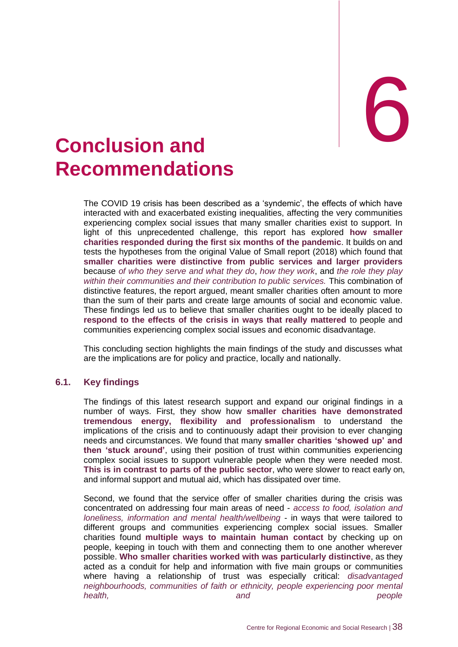# <span id="page-43-0"></span>**Conclusion and Recommendations**

The COVID 19 crisis has been described as a 'syndemic', the effects of which have interacted with and exacerbated existing inequalities, affecting the very communities experiencing complex social issues that many smaller charities exist to support. In light of this unprecedented challenge, this report has explored **how smaller charities responded during the first six months of the pandemic**. It builds on and tests the hypotheses from the original Value of Small report (2018) which found that **smaller charities were distinctive from public services and larger providers** because *of who they serve and what they do*, *how they work*, and *the role they play within their communities and their contribution to public services.* This combination of distinctive features, the report argued, meant smaller charities often amount to more than the sum of their parts and create large amounts of social and economic value. These findings led us to believe that smaller charities ought to be ideally placed to **respond to the effects of the crisis in ways that really mattered** to people and communities experiencing complex social issues and economic disadvantage.

This concluding section highlights the main findings of the study and discusses what are the implications are for policy and practice, locally and nationally.

#### **6.1. Key findings**

The findings of this latest research support and expand our original findings in a number of ways. First, they show how **smaller charities have demonstrated tremendous energy, flexibility and professionalism** to understand the implications of the crisis and to continuously adapt their provision to ever changing needs and circumstances. We found that many **smaller charities 'showed up' and then 'stuck around'**, using their position of trust within communities experiencing complex social issues to support vulnerable people when they were needed most. **This is in contrast to parts of the public sector**, who were slower to react early on, and informal support and mutual aid, which has dissipated over time.

Second, we found that the service offer of smaller charities during the crisis was concentrated on addressing four main areas of need - *access to food, isolation and loneliness, information and mental health/wellbeing* - in ways that were tailored to different groups and communities experiencing complex social issues. Smaller charities found **multiple ways to maintain human contact** by checking up on people, keeping in touch with them and connecting them to one another wherever possible. **Who smaller charities worked with was particularly distinctive**, as they acted as a conduit for help and information with five main groups or communities where having a relationship of trust was especially critical: *disadvantaged neighbourhoods, communities of faith or ethnicity, people experiencing poor mental health, and people*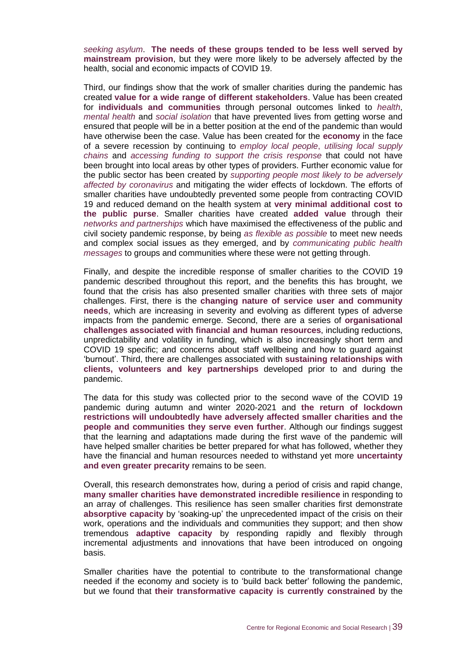*seeking asylum*. **The needs of these groups tended to be less well served by mainstream provision**, but they were more likely to be adversely affected by the health, social and economic impacts of COVID 19.

Third, our findings show that the work of smaller charities during the pandemic has created **value for a wide range of different stakeholders**. Value has been created for **individuals and communities** through personal outcomes linked to *health*, *mental health* and *social isolation* that have prevented lives from getting worse and ensured that people will be in a better position at the end of the pandemic than would have otherwise been the case. Value has been created for the **economy** in the face of a severe recession by continuing to *employ local people*, *utilising local supply chains* and *accessing funding to support the crisis response* that could not have been brought into local areas by other types of providers. Further economic value for the public sector has been created by *supporting people most likely to be adversely affected by coronavirus* and mitigating the wider effects of lockdown. The efforts of smaller charities have undoubtedly prevented some people from contracting COVID 19 and reduced demand on the health system at **very minimal additional cost to the public purse**. Smaller charities have created **added value** through their *networks and partnerships* which have maximised the effectiveness of the public and civil society pandemic response, by being *as flexible as possible* to meet new needs and complex social issues as they emerged, and by *communicating public health messages* to groups and communities where these were not getting through.

Finally, and despite the incredible response of smaller charities to the COVID 19 pandemic described throughout this report, and the benefits this has brought, we found that the crisis has also presented smaller charities with three sets of major challenges. First, there is the **changing nature of service user and community needs**, which are increasing in severity and evolving as different types of adverse impacts from the pandemic emerge. Second, there are a series of **organisational challenges associated with financial and human resources**, including reductions, unpredictability and volatility in funding, which is also increasingly short term and COVID 19 specific; and concerns about staff wellbeing and how to guard against 'burnout'. Third, there are challenges associated with **sustaining relationships with clients, volunteers and key partnerships** developed prior to and during the pandemic.

The data for this study was collected prior to the second wave of the COVID 19 pandemic during autumn and winter 2020-2021 and **the return of lockdown restrictions will undoubtedly have adversely affected smaller charities and the people and communities they serve even further**. Although our findings suggest that the learning and adaptations made during the first wave of the pandemic will have helped smaller charities be better prepared for what has followed, whether they have the financial and human resources needed to withstand yet more **uncertainty and even greater precarity** remains to be seen.

Overall, this research demonstrates how, during a period of crisis and rapid change, **many smaller charities have demonstrated incredible resilience** in responding to an array of challenges. This resilience has seen smaller charities first demonstrate **absorptive capacity** by 'soaking-up' the unprecedented impact of the crisis on their work, operations and the individuals and communities they support; and then show tremendous **adaptive capacity** by responding rapidly and flexibly through incremental adjustments and innovations that have been introduced on ongoing basis.

Smaller charities have the potential to contribute to the transformational change needed if the economy and society is to 'build back better' following the pandemic, but we found that **their transformative capacity is currently constrained** by the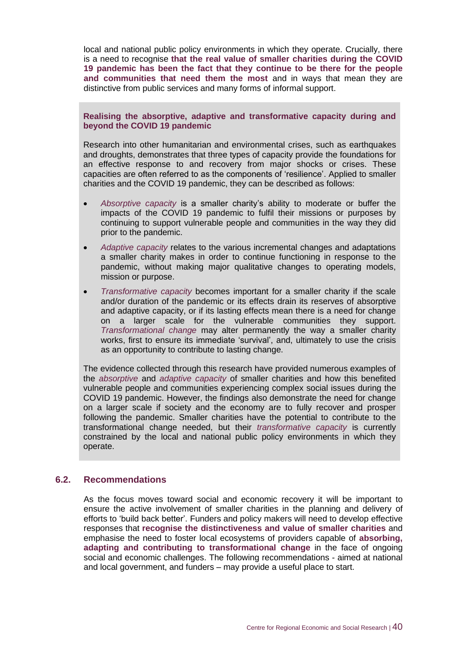local and national public policy environments in which they operate. Crucially, there is a need to recognise **that the real value of smaller charities during the COVID 19 pandemic has been the fact that they continue to be there for the people and communities that need them the most** and in ways that mean they are distinctive from public services and many forms of informal support.

#### **Realising the absorptive, adaptive and transformative capacity during and beyond the COVID 19 pandemic**

Research into other humanitarian and environmental crises, such as earthquakes and droughts, demonstrates that three types of capacity provide the foundations for an effective response to and recovery from major shocks or crises. These capacities are often referred to as the components of 'resilience'. Applied to smaller charities and the COVID 19 pandemic, they can be described as follows:

- *Absorptive capacity* is a smaller charity's ability to moderate or buffer the impacts of the COVID 19 pandemic to fulfil their missions or purposes by continuing to support vulnerable people and communities in the way they did prior to the pandemic.
- *Adaptive capacity* relates to the various incremental changes and adaptations a smaller charity makes in order to continue functioning in response to the pandemic, without making major qualitative changes to operating models, mission or purpose.
- *Transformative capacity* becomes important for a smaller charity if the scale and/or duration of the pandemic or its effects drain its reserves of absorptive and adaptive capacity, or if its lasting effects mean there is a need for change on a larger scale for the vulnerable communities they support. *Transformational change* may alter permanently the way a smaller charity works, first to ensure its immediate 'survival', and, ultimately to use the crisis as an opportunity to contribute to lasting change.

The evidence collected through this research have provided numerous examples of the *absorptive* and *adaptive capacity* of smaller charities and how this benefited vulnerable people and communities experiencing complex social issues during the COVID 19 pandemic. However, the findings also demonstrate the need for change on a larger scale if society and the economy are to fully recover and prosper following the pandemic. Smaller charities have the potential to contribute to the transformational change needed, but their *transformative capacity* is currently constrained by the local and national public policy environments in which they operate.

#### **6.2. Recommendations**

As the focus moves toward social and economic recovery it will be important to ensure the active involvement of smaller charities in the planning and delivery of efforts to 'build back better'. Funders and policy makers will need to develop effective responses that **recognise the distinctiveness and value of smaller charities** and emphasise the need to foster local ecosystems of providers capable of **absorbing, adapting and contributing to transformational change** in the face of ongoing social and economic challenges. The following recommendations - aimed at national and local government, and funders – may provide a useful place to start.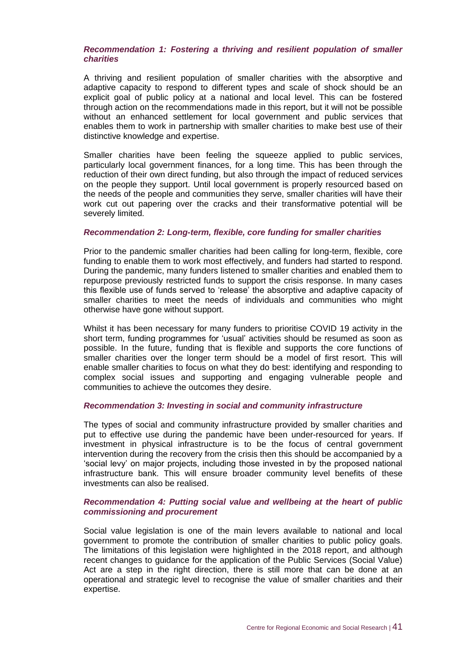#### *Recommendation 1: Fostering a thriving and resilient population of smaller charities*

A thriving and resilient population of smaller charities with the absorptive and adaptive capacity to respond to different types and scale of shock should be an explicit goal of public policy at a national and local level. This can be fostered through action on the recommendations made in this report, but it will not be possible without an enhanced settlement for local government and public services that enables them to work in partnership with smaller charities to make best use of their distinctive knowledge and expertise.

Smaller charities have been feeling the squeeze applied to public services, particularly local government finances, for a long time. This has been through the reduction of their own direct funding, but also through the impact of reduced services on the people they support. Until local government is properly resourced based on the needs of the people and communities they serve, smaller charities will have their work cut out papering over the cracks and their transformative potential will be severely limited.

#### *Recommendation 2: Long-term, flexible, core funding for smaller charities*

Prior to the pandemic smaller charities had been calling for long-term, flexible, core funding to enable them to work most effectively, and funders had started to respond. During the pandemic, many funders listened to smaller charities and enabled them to repurpose previously restricted funds to support the crisis response. In many cases this flexible use of funds served to 'release' the absorptive and adaptive capacity of smaller charities to meet the needs of individuals and communities who might otherwise have gone without support.

Whilst it has been necessary for many funders to prioritise COVID 19 activity in the short term, funding programmes for 'usual' activities should be resumed as soon as possible. In the future, funding that is flexible and supports the core functions of smaller charities over the longer term should be a model of first resort. This will enable smaller charities to focus on what they do best: identifying and responding to complex social issues and supporting and engaging vulnerable people and communities to achieve the outcomes they desire.

#### *Recommendation 3: Investing in social and community infrastructure*

The types of social and community infrastructure provided by smaller charities and put to effective use during the pandemic have been under-resourced for years. If investment in physical infrastructure is to be the focus of central government intervention during the recovery from the crisis then this should be accompanied by a 'social levy' on major projects, including those invested in by the proposed national infrastructure bank. This will ensure broader community level benefits of these investments can also be realised.

#### *Recommendation 4: Putting social value and wellbeing at the heart of public commissioning and procurement*

Social value legislation is one of the main levers available to national and local government to promote the contribution of smaller charities to public policy goals. The limitations of this legislation were highlighted in the 2018 report, and although recent changes to guidance for the application of the Public Services (Social Value) Act are a step in the right direction, there is still more that can be done at an operational and strategic level to recognise the value of smaller charities and their expertise.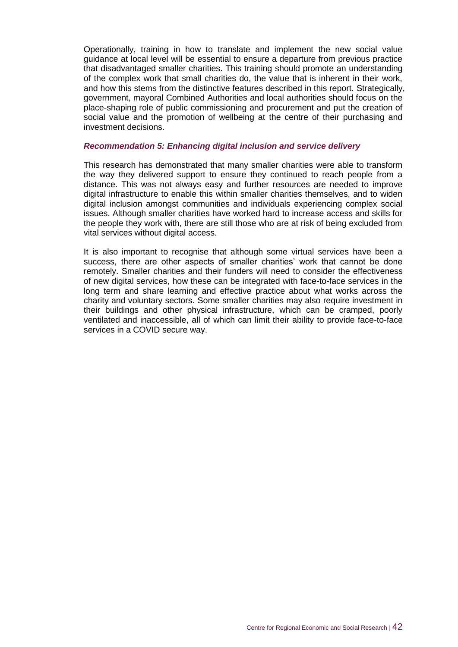Operationally, training in how to translate and implement the new social value guidance at local level will be essential to ensure a departure from previous practice that disadvantaged smaller charities. This training should promote an understanding of the complex work that small charities do, the value that is inherent in their work, and how this stems from the distinctive features described in this report. Strategically, government, mayoral Combined Authorities and local authorities should focus on the place-shaping role of public commissioning and procurement and put the creation of social value and the promotion of wellbeing at the centre of their purchasing and investment decisions.

#### *Recommendation 5: Enhancing digital inclusion and service delivery*

This research has demonstrated that many smaller charities were able to transform the way they delivered support to ensure they continued to reach people from a distance. This was not always easy and further resources are needed to improve digital infrastructure to enable this within smaller charities themselves, and to widen digital inclusion amongst communities and individuals experiencing complex social issues. Although smaller charities have worked hard to increase access and skills for the people they work with, there are still those who are at risk of being excluded from vital services without digital access.

It is also important to recognise that although some virtual services have been a success, there are other aspects of smaller charities' work that cannot be done remotely. Smaller charities and their funders will need to consider the effectiveness of new digital services, how these can be integrated with face-to-face services in the long term and share learning and effective practice about what works across the charity and voluntary sectors. Some smaller charities may also require investment in their buildings and other physical infrastructure, which can be cramped, poorly ventilated and inaccessible, all of which can limit their ability to provide face-to-face services in a COVID secure way.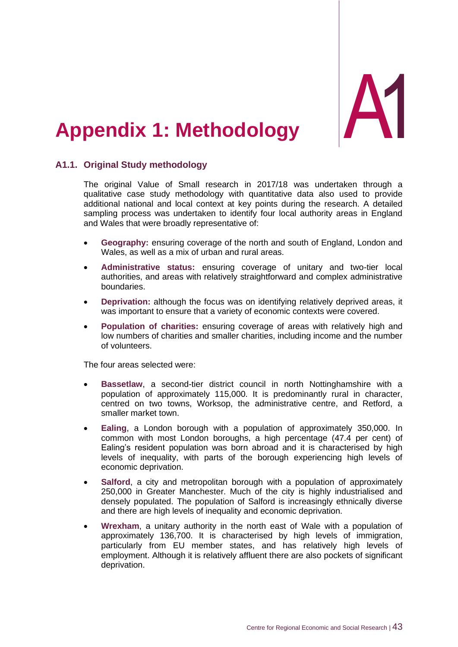

## <span id="page-48-0"></span>**Appendix 1: Methodology**

#### **A1.1. Original Study methodology**

The original Value of Small research in 2017/18 was undertaken through a qualitative case study methodology with quantitative data also used to provide additional national and local context at key points during the research. A detailed sampling process was undertaken to identify four local authority areas in England and Wales that were broadly representative of:

- **Geography:** ensuring coverage of the north and south of England, London and Wales, as well as a mix of urban and rural areas.
- **Administrative status:** ensuring coverage of unitary and two-tier local authorities, and areas with relatively straightforward and complex administrative boundaries.
- **Deprivation:** although the focus was on identifying relatively deprived areas, it was important to ensure that a variety of economic contexts were covered.
- **Population of charities:** ensuring coverage of areas with relatively high and low numbers of charities and smaller charities, including income and the number of volunteers.

The four areas selected were:

- **Bassetlaw**, a second-tier district council in north Nottinghamshire with a population of approximately 115,000. It is predominantly rural in character, centred on two towns, Worksop, the administrative centre, and Retford, a smaller market town.
- **Ealing**, a London borough with a population of approximately 350,000. In common with most London boroughs, a high percentage (47.4 per cent) of Ealing's resident population was born abroad and it is characterised by high levels of inequality, with parts of the borough experiencing high levels of economic deprivation.
- **Salford**, a city and metropolitan borough with a population of approximately 250,000 in Greater Manchester. Much of the city is highly industrialised and densely populated. The population of Salford is increasingly ethnically diverse and there are high levels of inequality and economic deprivation.
- **Wrexham**, a unitary authority in the north east of Wale with a population of approximately 136,700. It is characterised by high levels of immigration, particularly from EU member states, and has relatively high levels of employment. Although it is relatively affluent there are also pockets of significant deprivation.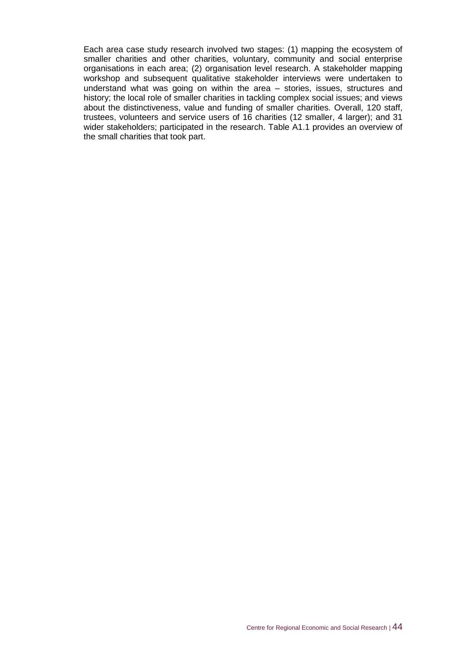Each area case study research involved two stages: (1) mapping the ecosystem of smaller charities and other charities, voluntary, community and social enterprise organisations in each area; (2) organisation level research. A stakeholder mapping workshop and subsequent qualitative stakeholder interviews were undertaken to understand what was going on within the area – stories, issues, structures and history; the local role of smaller charities in tackling complex social issues; and views about the distinctiveness, value and funding of smaller charities. Overall, 120 staff, trustees, volunteers and service users of 16 charities (12 smaller, 4 larger); and 31 wider stakeholders; participated in the research. Table A1.1 provides an overview of the small charities that took part.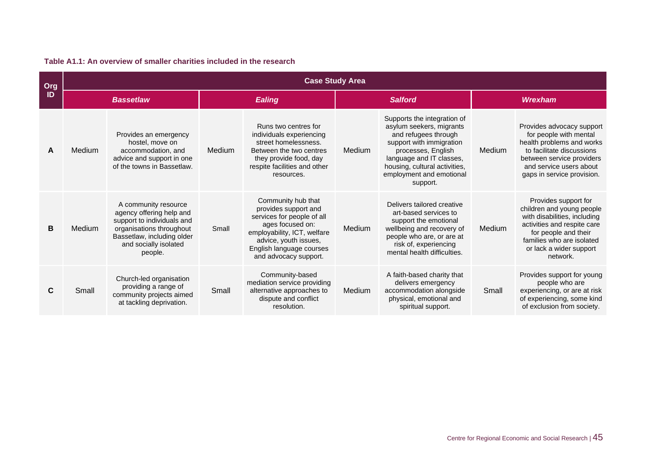| Org | <b>Case Study Area</b> |                                                                                                                                                                              |               |                                                                                                                                                                                                           |                |                                                                                                                                                                                                                                        |         |                                                                                                                                                                                                              |
|-----|------------------------|------------------------------------------------------------------------------------------------------------------------------------------------------------------------------|---------------|-----------------------------------------------------------------------------------------------------------------------------------------------------------------------------------------------------------|----------------|----------------------------------------------------------------------------------------------------------------------------------------------------------------------------------------------------------------------------------------|---------|--------------------------------------------------------------------------------------------------------------------------------------------------------------------------------------------------------------|
| ID  | <b>Bassetlaw</b>       |                                                                                                                                                                              | <b>Ealing</b> |                                                                                                                                                                                                           | <b>Salford</b> |                                                                                                                                                                                                                                        | Wrexham |                                                                                                                                                                                                              |
| A   | Medium                 | Provides an emergency<br>hostel, move on<br>accommodation, and<br>advice and support in one<br>of the towns in Bassetlaw.                                                    | Medium        | Runs two centres for<br>individuals experiencing<br>street homelessness.<br>Between the two centres<br>they provide food, day<br>respite facilities and other<br>resources.                               | Medium         | Supports the integration of<br>asylum seekers, migrants<br>and refugees through<br>support with immigration<br>processes, English<br>language and IT classes,<br>housing, cultural activities,<br>employment and emotional<br>support. | Medium  | Provides advocacy support<br>for people with mental<br>health problems and works<br>to facilitate discussions<br>between service providers<br>and service users about<br>gaps in service provision.          |
| B   | Medium                 | A community resource<br>agency offering help and<br>support to individuals and<br>organisations throughout<br>Bassetlaw, including older<br>and socially isolated<br>people. | Small         | Community hub that<br>provides support and<br>services for people of all<br>ages focused on:<br>employability, ICT, welfare<br>advice, youth issues,<br>English language courses<br>and advocacy support. | Medium         | Delivers tailored creative<br>art-based services to<br>support the emotional<br>wellbeing and recovery of<br>people who are, or are at<br>risk of, experiencing<br>mental health difficulties.                                         | Medium  | Provides support for<br>children and young people<br>with disabilities, including<br>activities and respite care<br>for people and their<br>families who are isolated<br>or lack a wider support<br>network. |
|     | Small                  | Church-led organisation<br>providing a range of<br>community projects aimed<br>at tackling deprivation.                                                                      | Small         | Community-based<br>mediation service providing<br>alternative approaches to<br>dispute and conflict<br>resolution.                                                                                        | Medium         | A faith-based charity that<br>delivers emergency<br>accommodation alongside<br>physical, emotional and<br>spiritual support.                                                                                                           | Small   | Provides support for young<br>people who are<br>experiencing, or are at risk<br>of experiencing, some kind<br>of exclusion from society.                                                                     |

#### **Table A1.1: An overview of smaller charities included in the research**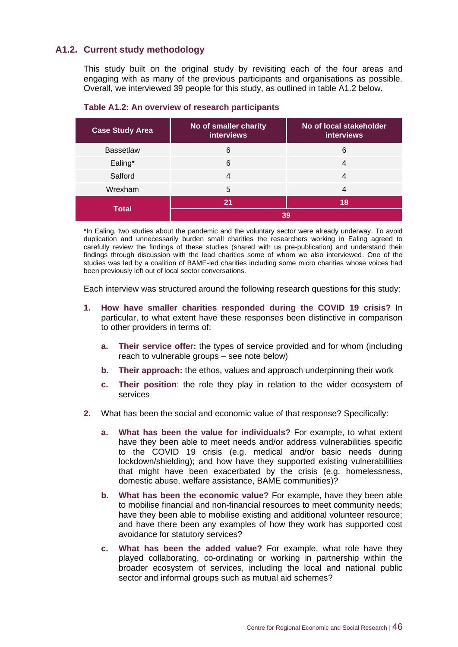#### **A1.2. Current study methodology**

This study built on the original study by revisiting each of the four areas and engaging with as many of the previous participants and organisations as possible. Overall, we interviewed 39 people for this study, as outlined in table A1.2 below.

| <b>Case Study Area</b> | No of smaller charity<br><b>interviews</b> | No of local stakeholder<br><b>interviews</b> |  |  |
|------------------------|--------------------------------------------|----------------------------------------------|--|--|
| <b>Bassetlaw</b>       | 6                                          | 6                                            |  |  |
| Ealing*                | 6                                          | 4                                            |  |  |
| Salford                | 4                                          |                                              |  |  |
| Wrexham                | 5                                          |                                              |  |  |
|                        | 21                                         | 18                                           |  |  |
| <b>Total</b>           | 39                                         |                                              |  |  |

**Table A1.2: An overview of research participants**

\*In Ealing, two studies about the pandemic and the voluntary sector were already underway. To avoid duplication and unnecessarily burden small charities the researchers working in Ealing agreed to carefully review the findings of these studies (shared with us pre-publication) and understand their findings through discussion with the lead charities some of whom we also interviewed. One of the studies was led by a coalition of BAME-led charities including some micro charities whose voices had been previously left out of local sector conversations.

Each interview was structured around the following research questions for this study:

- **1. How have smaller charities responded during the COVID 19 crisis?** In particular, to what extent have these responses been distinctive in comparison to other providers in terms of:
	- **a. Their service offer:** the types of service provided and for whom (including reach to vulnerable groups – see note below)
	- **b. Their approach:** the ethos, values and approach underpinning their work
	- **c. Their position**: the role they play in relation to the wider ecosystem of services
- **2.** What has been the social and economic value of that response? Specifically:
	- **a. What has been the value for individuals?** For example, to what extent have they been able to meet needs and/or address vulnerabilities specific to the COVID 19 crisis (e.g. medical and/or basic needs during lockdown/shielding); and how have they supported existing vulnerabilities that might have been exacerbated by the crisis (e.g. homelessness, domestic abuse, welfare assistance, BAME communities)?
	- **b. What has been the economic value?** For example, have they been able to mobilise financial and non-financial resources to meet community needs; have they been able to mobilise existing and additional volunteer resource; and have there been any examples of how they work has supported cost avoidance for statutory services?
	- **c. What has been the added value?** For example, what role have they played collaborating, co-ordinating or working in partnership within the broader ecosystem of services, including the local and national public sector and informal groups such as mutual aid schemes?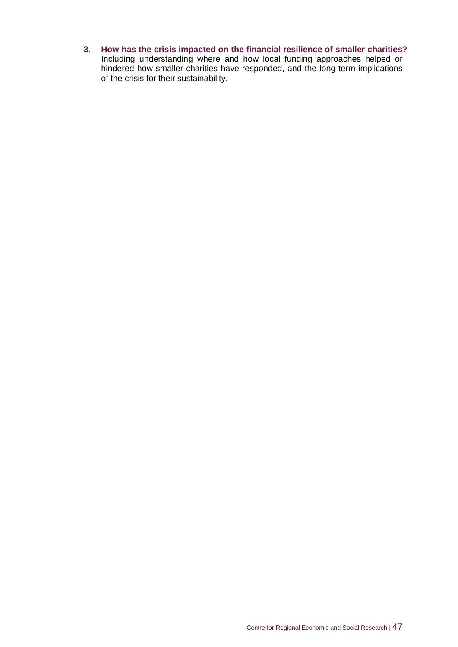**3. How has the crisis impacted on the financial resilience of smaller charities?**  Including understanding where and how local funding approaches helped or hindered how smaller charities have responded, and the long-term implications of the crisis for their sustainability.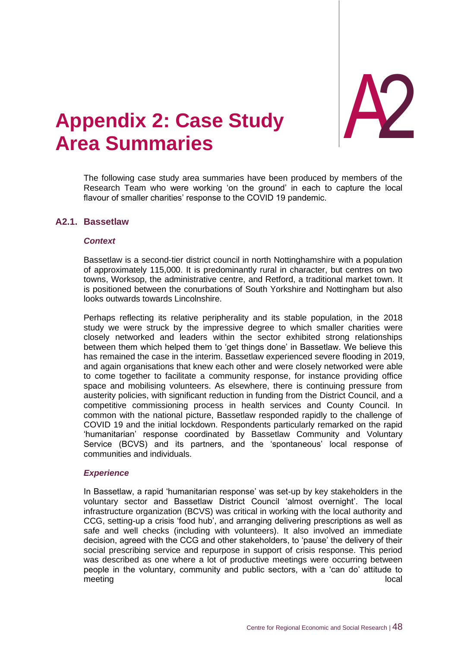

# <span id="page-53-0"></span>**Appendix 2 Area Summaries**

The following case study area summaries have been produced by members of the Research Team who were working 'on the ground' in each to capture the local flavour of smaller charities' response to the COVID 19 pandemic.

#### **A2.1. Bassetlaw**

#### *Context*

Bassetlaw is a second-tier district council in north Nottinghamshire with a population of approximately 115,000. It is predominantly rural in character, but centres on two towns, Worksop, the administrative centre, and Retford, a traditional market town. It is positioned between the conurbations of South Yorkshire and Nottingham but also looks outwards towards Lincolnshire.

Perhaps reflecting its relative peripherality and its stable population, in the 2018 study we were struck by the impressive degree to which smaller charities were closely networked and leaders within the sector exhibited strong relationships between them which helped them to 'get things done' in Bassetlaw. We believe this has remained the case in the interim. Bassetlaw experienced severe flooding in 2019, and again organisations that knew each other and were closely networked were able to come together to facilitate a community response, for instance providing office space and mobilising volunteers. As elsewhere, there is continuing pressure from austerity policies, with significant reduction in funding from the District Council, and a competitive commissioning process in health services and County Council. In common with the national picture, Bassetlaw responded rapidly to the challenge of COVID 19 and the initial lockdown. Respondents particularly remarked on the rapid 'humanitarian' response coordinated by Bassetlaw Community and Voluntary Service (BCVS) and its partners, and the 'spontaneous' local response of communities and individuals.

#### *Experience*

In Bassetlaw, a rapid 'humanitarian response' was set-up by key stakeholders in the voluntary sector and Bassetlaw District Council 'almost overnight'. The local infrastructure organization (BCVS) was critical in working with the local authority and CCG, setting-up a crisis 'food hub', and arranging delivering prescriptions as well as safe and well checks (including with volunteers). It also involved an immediate decision, agreed with the CCG and other stakeholders, to 'pause' the delivery of their social prescribing service and repurpose in support of crisis response. This period was described as one where a lot of productive meetings were occurring between people in the voluntary, community and public sectors, with a 'can do' attitude to meeting local local local contract that the contract of the contract of the contract of the contract of the contract of the contract of the contract of the contract of the contract of the contract of the contract of the co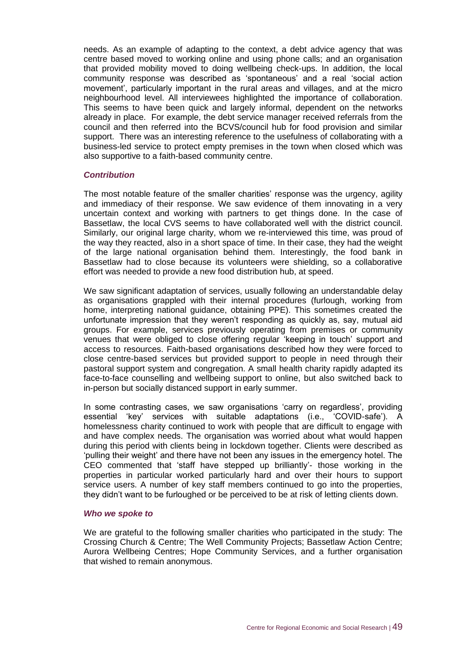needs. As an example of adapting to the context, a debt advice agency that was centre based moved to working online and using phone calls; and an organisation that provided mobility moved to doing wellbeing check-ups. In addition, the local community response was described as 'spontaneous' and a real 'social action movement', particularly important in the rural areas and villages, and at the micro neighbourhood level. All interviewees highlighted the importance of collaboration. This seems to have been quick and largely informal, dependent on the networks already in place. For example, the debt service manager received referrals from the council and then referred into the BCVS/council hub for food provision and similar support. There was an interesting reference to the usefulness of collaborating with a business-led service to protect empty premises in the town when closed which was also supportive to a faith-based community centre.

#### *Contribution*

The most notable feature of the smaller charities' response was the urgency, agility and immediacy of their response. We saw evidence of them innovating in a very uncertain context and working with partners to get things done. In the case of Bassetlaw, the local CVS seems to have collaborated well with the district council. Similarly, our original large charity, whom we re-interviewed this time, was proud of the way they reacted, also in a short space of time. In their case, they had the weight of the large national organisation behind them. Interestingly, the food bank in Bassetlaw had to close because its volunteers were shielding, so a collaborative effort was needed to provide a new food distribution hub, at speed.

We saw significant adaptation of services, usually following an understandable delay as organisations grappled with their internal procedures (furlough, working from home, interpreting national guidance, obtaining PPE). This sometimes created the unfortunate impression that they weren't responding as quickly as, say, mutual aid groups. For example, services previously operating from premises or community venues that were obliged to close offering regular 'keeping in touch' support and access to resources. Faith-based organisations described how they were forced to close centre-based services but provided support to people in need through their pastoral support system and congregation. A small health charity rapidly adapted its face-to-face counselling and wellbeing support to online, but also switched back to in-person but socially distanced support in early summer.

In some contrasting cases, we saw organisations 'carry on regardless', providing essential 'key' services with suitable adaptations (i.e., 'COVID-safe'). A homelessness charity continued to work with people that are difficult to engage with and have complex needs. The organisation was worried about what would happen during this period with clients being in lockdown together. Clients were described as 'pulling their weight' and there have not been any issues in the emergency hotel. The CEO commented that 'staff have stepped up brilliantly'- those working in the properties in particular worked particularly hard and over their hours to support service users. A number of key staff members continued to go into the properties, they didn't want to be furloughed or be perceived to be at risk of letting clients down.

#### *Who we spoke to*

We are grateful to the following smaller charities who participated in the study: The Crossing Church & Centre; The Well Community Projects; Bassetlaw Action Centre; Aurora Wellbeing Centres; Hope Community Services, and a further organisation that wished to remain anonymous.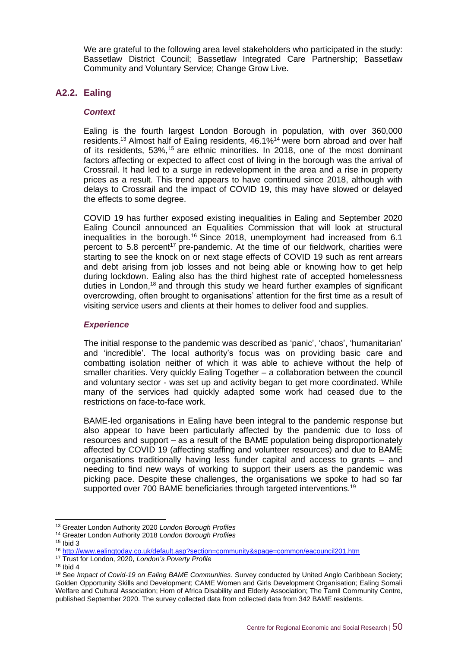We are grateful to the following area level stakeholders who participated in the study: Bassetlaw District Council; Bassetlaw Integrated Care Partnership; Bassetlaw Community and Voluntary Service; Change Grow Live.

#### **A2.2. Ealing**

#### *Context*

Ealing is the fourth largest London Borough in population, with over 360,000 residents.<sup>13</sup> Almost half of Ealing residents, 46.1%<sup>14</sup> were born abroad and over half of its residents, 53%, <sup>15</sup> are ethnic minorities. In 2018, one of the most dominant factors affecting or expected to affect cost of living in the borough was the arrival of Crossrail. It had led to a surge in redevelopment in the area and a rise in property prices as a result. This trend appears to have continued since 2018, although with delays to Crossrail and the impact of COVID 19, this may have slowed or delayed the effects to some degree.

COVID 19 has further exposed existing inequalities in Ealing and September 2020 Ealing Council announced an Equalities Commission that will look at structural inequalities in the borough.<sup>16</sup> Since 2018, unemployment had increased from 6.1 percent to 5.8 percent<sup>17</sup> pre-pandemic. At the time of our fieldwork, charities were starting to see the knock on or next stage effects of COVID 19 such as rent arrears and debt arising from job losses and not being able or knowing how to get help during lockdown. Ealing also has the third highest rate of accepted homelessness duties in London,<sup>18</sup> and through this study we heard further examples of significant overcrowding, often brought to organisations' attention for the first time as a result of visiting service users and clients at their homes to deliver food and supplies.

#### *Experience*

The initial response to the pandemic was described as 'panic', 'chaos', 'humanitarian' and 'incredible'. The local authority's focus was on providing basic care and combatting isolation neither of which it was able to achieve without the help of smaller charities. Very quickly Ealing Together – a collaboration between the council and voluntary sector - was set up and activity began to get more coordinated. While many of the services had quickly adapted some work had ceased due to the restrictions on face-to-face work.

BAME-led organisations in Ealing have been integral to the pandemic response but also appear to have been particularly affected by the pandemic due to loss of resources and support – as a result of the BAME population being disproportionately affected by COVID 19 (affecting staffing and volunteer resources) and due to BAME organisations traditionally having less funder capital and access to grants – and needing to find new ways of working to support their users as the pandemic was picking pace. Despite these challenges, the organisations we spoke to had so far supported over 700 BAME beneficiaries through targeted interventions.<sup>19</sup>

<sup>13</sup> Greater London Authority 2020 *London Borough Profiles*

<sup>14</sup> Greater London Authority 2018 *London Borough Profiles*

 $15$  Ibid 3

<sup>16</sup> <http://www.ealingtoday.co.uk/default.asp?section=community&spage=common/eacouncil201.htm>

<sup>17</sup> Trust for London, 2020, *London's Poverty Profile*

 $18$  Ibid 4

<sup>19</sup> See *Impact of Covid-19 on Ealing BAME Communities*. Survey conducted by United Anglo Caribbean Society; Golden Opportunity Skills and Development; CAME Women and Girls Development Organisation; Ealing Somali Welfare and Cultural Association; Horn of Africa Disability and Elderly Association; The Tamil Community Centre, published September 2020. The survey collected data from collected data from 342 BAME residents.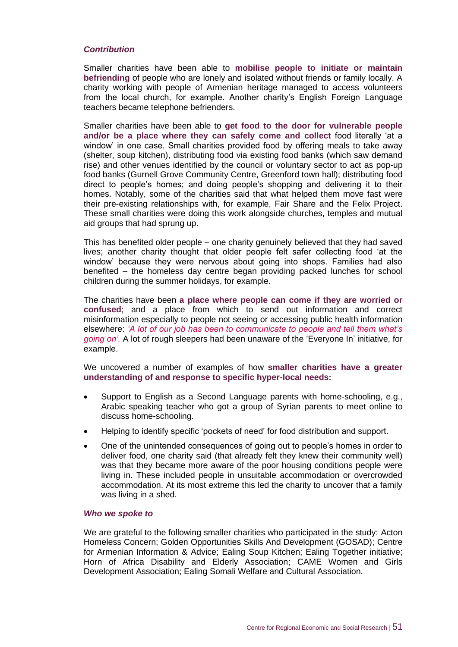#### *Contribution*

Smaller charities have been able to **mobilise people to initiate or maintain befriending** of people who are lonely and isolated without friends or family locally. A charity working with people of Armenian heritage managed to access volunteers from the local church, for example. Another charity's English Foreign Language teachers became telephone befrienders.

Smaller charities have been able to **get food to the door for vulnerable people and/or be a place where they can safely come and collect** food literally 'at a window' in one case. Small charities provided food by offering meals to take away (shelter, soup kitchen), distributing food via existing food banks (which saw demand rise) and other venues identified by the council or voluntary sector to act as pop-up food banks (Gurnell Grove Community Centre, Greenford town hall); distributing food direct to people's homes; and doing people's shopping and delivering it to their homes. Notably, some of the charities said that what helped them move fast were their pre-existing relationships with, for example, Fair Share and the Felix Project. These small charities were doing this work alongside churches, temples and mutual aid groups that had sprung up.

This has benefited older people – one charity genuinely believed that they had saved lives; another charity thought that older people felt safer collecting food 'at the window' because they were nervous about going into shops. Families had also benefited – the homeless day centre began providing packed lunches for school children during the summer holidays, for example.

The charities have been **a place where people can come if they are worried or confused**; and a place from which to send out information and correct misinformation especially to people not seeing or accessing public health information elsewhere: *'A lot of our job has been to communicate to people and tell them what's going on'.* A lot of rough sleepers had been unaware of the 'Everyone In' initiative, for example.

We uncovered a number of examples of how **smaller charities have a greater understanding of and response to specific hyper-local needs:**

- Support to English as a Second Language parents with home-schooling, e.g., Arabic speaking teacher who got a group of Syrian parents to meet online to discuss home-schooling.
- Helping to identify specific 'pockets of need' for food distribution and support.
- One of the unintended consequences of going out to people's homes in order to deliver food, one charity said (that already felt they knew their community well) was that they became more aware of the poor housing conditions people were living in. These included people in unsuitable accommodation or overcrowded accommodation. At its most extreme this led the charity to uncover that a family was living in a shed.

#### *Who we spoke to*

We are grateful to the following smaller charities who participated in the study: Acton Homeless Concern; Golden Opportunities Skills And Development (GOSAD); Centre for Armenian Information & Advice; Ealing Soup Kitchen; Ealing Together initiative; Horn of Africa Disability and Elderly Association; CAME Women and Girls Development Association; Ealing Somali Welfare and Cultural Association.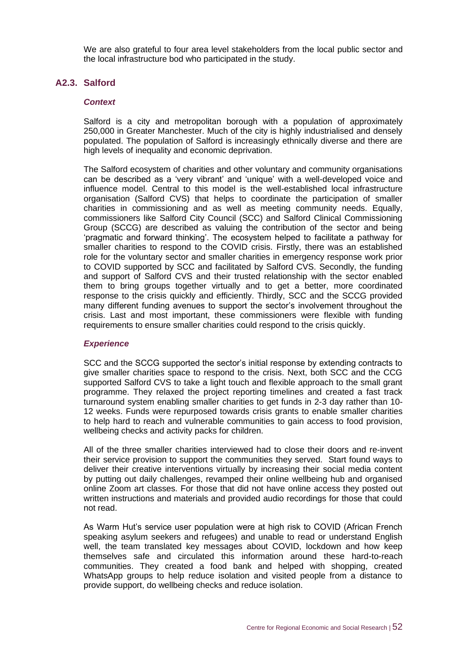We are also grateful to four area level stakeholders from the local public sector and the local infrastructure bod who participated in the study.

#### **A2.3. Salford**

#### *Context*

Salford is a city and metropolitan borough with a population of approximately 250,000 in Greater Manchester. Much of the city is highly industrialised and densely populated. The population of Salford is increasingly ethnically diverse and there are high levels of inequality and economic deprivation.

The Salford ecosystem of charities and other voluntary and community organisations can be described as a 'very vibrant' and 'unique' with a well-developed voice and influence model. Central to this model is the well-established local infrastructure organisation (Salford CVS) that helps to coordinate the participation of smaller charities in commissioning and as well as meeting community needs. Equally, commissioners like Salford City Council (SCC) and Salford Clinical Commissioning Group (SCCG) are described as valuing the contribution of the sector and being 'pragmatic and forward thinking'. The ecosystem helped to facilitate a pathway for smaller charities to respond to the COVID crisis. Firstly, there was an established role for the voluntary sector and smaller charities in emergency response work prior to COVID supported by SCC and facilitated by Salford CVS. Secondly, the funding and support of Salford CVS and their trusted relationship with the sector enabled them to bring groups together virtually and to get a better, more coordinated response to the crisis quickly and efficiently. Thirdly, SCC and the SCCG provided many different funding avenues to support the sector's involvement throughout the crisis. Last and most important, these commissioners were flexible with funding requirements to ensure smaller charities could respond to the crisis quickly.

#### *Experience*

SCC and the SCCG supported the sector's initial response by extending contracts to give smaller charities space to respond to the crisis. Next, both SCC and the CCG supported Salford CVS to take a light touch and flexible approach to the small grant programme. They relaxed the project reporting timelines and created a fast track turnaround system enabling smaller charities to get funds in 2-3 day rather than 10- 12 weeks. Funds were repurposed towards crisis grants to enable smaller charities to help hard to reach and vulnerable communities to gain access to food provision, wellbeing checks and activity packs for children.

All of the three smaller charities interviewed had to close their doors and re-invent their service provision to support the communities they served. Start found ways to deliver their creative interventions virtually by increasing their social media content by putting out daily challenges, revamped their online wellbeing hub and organised online Zoom art classes. For those that did not have online access they posted out written instructions and materials and provided audio recordings for those that could not read.

As Warm Hut's service user population were at high risk to COVID (African French speaking asylum seekers and refugees) and unable to read or understand English well, the team translated key messages about COVID, lockdown and how keep themselves safe and circulated this information around these hard-to-reach communities. They created a food bank and helped with shopping, created WhatsApp groups to help reduce isolation and visited people from a distance to provide support, do wellbeing checks and reduce isolation.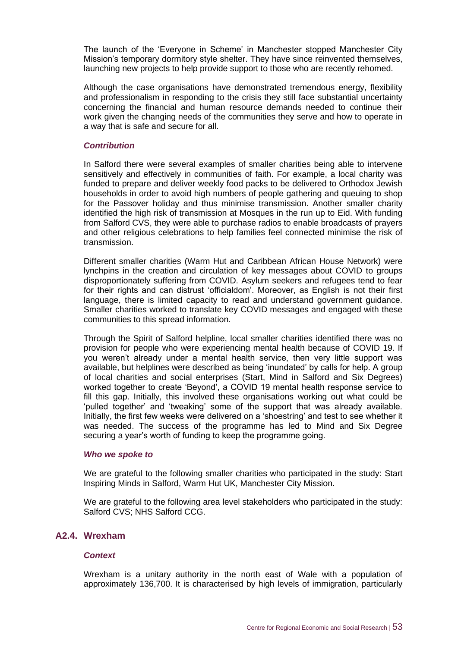The launch of the 'Everyone in Scheme' in Manchester stopped Manchester City Mission's temporary dormitory style shelter. They have since reinvented themselves, launching new projects to help provide support to those who are recently rehomed.

Although the case organisations have demonstrated tremendous energy, flexibility and professionalism in responding to the crisis they still face substantial uncertainty concerning the financial and human resource demands needed to continue their work given the changing needs of the communities they serve and how to operate in a way that is safe and secure for all.

#### *Contribution*

In Salford there were several examples of smaller charities being able to intervene sensitively and effectively in communities of faith. For example, a local charity was funded to prepare and deliver weekly food packs to be delivered to Orthodox Jewish households in order to avoid high numbers of people gathering and queuing to shop for the Passover holiday and thus minimise transmission. Another smaller charity identified the high risk of transmission at Mosques in the run up to Eid. With funding from Salford CVS, they were able to purchase radios to enable broadcasts of prayers and other religious celebrations to help families feel connected minimise the risk of transmission.

Different smaller charities (Warm Hut and Caribbean African House Network) were lynchpins in the creation and circulation of key messages about COVID to groups disproportionately suffering from COVID. Asylum seekers and refugees tend to fear for their rights and can distrust 'officialdom'. Moreover, as English is not their first language, there is limited capacity to read and understand government guidance. Smaller charities worked to translate key COVID messages and engaged with these communities to this spread information.

Through the Spirit of Salford helpline, local smaller charities identified there was no provision for people who were experiencing mental health because of COVID 19. If you weren't already under a mental health service, then very little support was available, but helplines were described as being 'inundated' by calls for help. A group of local charities and social enterprises (Start, Mind in Salford and Six Degrees) worked together to create 'Beyond', a COVID 19 mental health response service to fill this gap. Initially, this involved these organisations working out what could be 'pulled together' and 'tweaking' some of the support that was already available. Initially, the first few weeks were delivered on a 'shoestring' and test to see whether it was needed. The success of the programme has led to Mind and Six Degree securing a year's worth of funding to keep the programme going.

#### *Who we spoke to*

We are grateful to the following smaller charities who participated in the study: Start Inspiring Minds in Salford, Warm Hut UK, Manchester City Mission.

We are grateful to the following area level stakeholders who participated in the study: Salford CVS; NHS Salford CCG.

#### **A2.4. Wrexham**

#### *Context*

Wrexham is a unitary authority in the north east of Wale with a population of approximately 136,700. It is characterised by high levels of immigration, particularly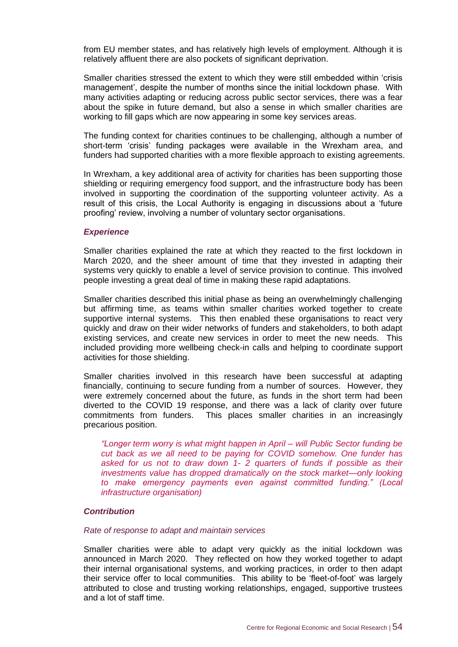from EU member states, and has relatively high levels of employment. Although it is relatively affluent there are also pockets of significant deprivation.

Smaller charities stressed the extent to which they were still embedded within 'crisis management', despite the number of months since the initial lockdown phase. With many activities adapting or reducing across public sector services, there was a fear about the spike in future demand, but also a sense in which smaller charities are working to fill gaps which are now appearing in some key services areas.

The funding context for charities continues to be challenging, although a number of short-term 'crisis' funding packages were available in the Wrexham area, and funders had supported charities with a more flexible approach to existing agreements.

In Wrexham, a key additional area of activity for charities has been supporting those shielding or requiring emergency food support, and the infrastructure body has been involved in supporting the coordination of the supporting volunteer activity. As a result of this crisis, the Local Authority is engaging in discussions about a 'future proofing' review, involving a number of voluntary sector organisations.

#### *Experience*

Smaller charities explained the rate at which they reacted to the first lockdown in March 2020, and the sheer amount of time that they invested in adapting their systems very quickly to enable a level of service provision to continue. This involved people investing a great deal of time in making these rapid adaptations.

Smaller charities described this initial phase as being an overwhelmingly challenging but affirming time, as teams within smaller charities worked together to create supportive internal systems. This then enabled these organisations to react very quickly and draw on their wider networks of funders and stakeholders, to both adapt existing services, and create new services in order to meet the new needs. This included providing more wellbeing check-in calls and helping to coordinate support activities for those shielding.

Smaller charities involved in this research have been successful at adapting financially, continuing to secure funding from a number of sources. However, they were extremely concerned about the future, as funds in the short term had been diverted to the COVID 19 response, and there was a lack of clarity over future commitments from funders. This places smaller charities in an increasingly precarious position.

*"Longer term worry is what might happen in April – will Public Sector funding be cut back as we all need to be paying for COVID somehow. One funder has asked for us not to draw down 1- 2 quarters of funds if possible as their investments value has dropped dramatically on the stock market—only looking to make emergency payments even against committed funding." (Local infrastructure organisation)*

#### *Contribution*

#### *Rate of response to adapt and maintain services*

Smaller charities were able to adapt very quickly as the initial lockdown was announced in March 2020. They reflected on how they worked together to adapt their internal organisational systems, and working practices, in order to then adapt their service offer to local communities. This ability to be 'fleet-of-foot' was largely attributed to close and trusting working relationships, engaged, supportive trustees and a lot of staff time.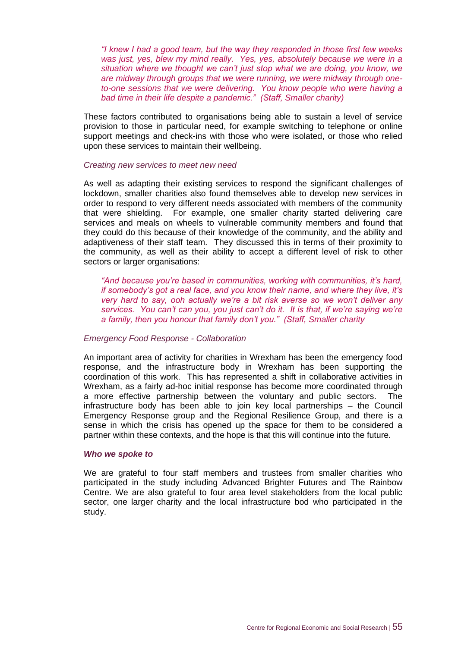*"I knew I had a good team, but the way they responded in those first few weeks was just, yes, blew my mind really. Yes, yes, absolutely because we were in a situation where we thought we can't just stop what we are doing, you know, we are midway through groups that we were running, we were midway through oneto-one sessions that we were delivering. You know people who were having a bad time in their life despite a pandemic." (Staff, Smaller charity)*

These factors contributed to organisations being able to sustain a level of service provision to those in particular need, for example switching to telephone or online support meetings and check-ins with those who were isolated, or those who relied upon these services to maintain their wellbeing.

#### *Creating new services to meet new need*

As well as adapting their existing services to respond the significant challenges of lockdown, smaller charities also found themselves able to develop new services in order to respond to very different needs associated with members of the community that were shielding. For example, one smaller charity started delivering care services and meals on wheels to vulnerable community members and found that they could do this because of their knowledge of the community, and the ability and adaptiveness of their staff team. They discussed this in terms of their proximity to the community, as well as their ability to accept a different level of risk to other sectors or larger organisations:

*"And because you're based in communities, working with communities, it's hard, if somebody's got a real face, and you know their name, and where they live, it's very hard to say, ooh actually we're a bit risk averse so we won't deliver any services. You can't can you, you just can't do it. It is that, if we're saying we're a family, then you honour that family don't you." (Staff, Smaller charity* 

#### *Emergency Food Response - Collaboration*

An important area of activity for charities in Wrexham has been the emergency food response, and the infrastructure body in Wrexham has been supporting the coordination of this work. This has represented a shift in collaborative activities in Wrexham, as a fairly ad-hoc initial response has become more coordinated through a more effective partnership between the voluntary and public sectors. The infrastructure body has been able to join key local partnerships – the Council Emergency Response group and the Regional Resilience Group, and there is a sense in which the crisis has opened up the space for them to be considered a partner within these contexts, and the hope is that this will continue into the future.

#### *Who we spoke to*

We are grateful to four staff members and trustees from smaller charities who participated in the study including Advanced Brighter Futures and The Rainbow Centre. We are also grateful to four area level stakeholders from the local public sector, one larger charity and the local infrastructure bod who participated in the study.